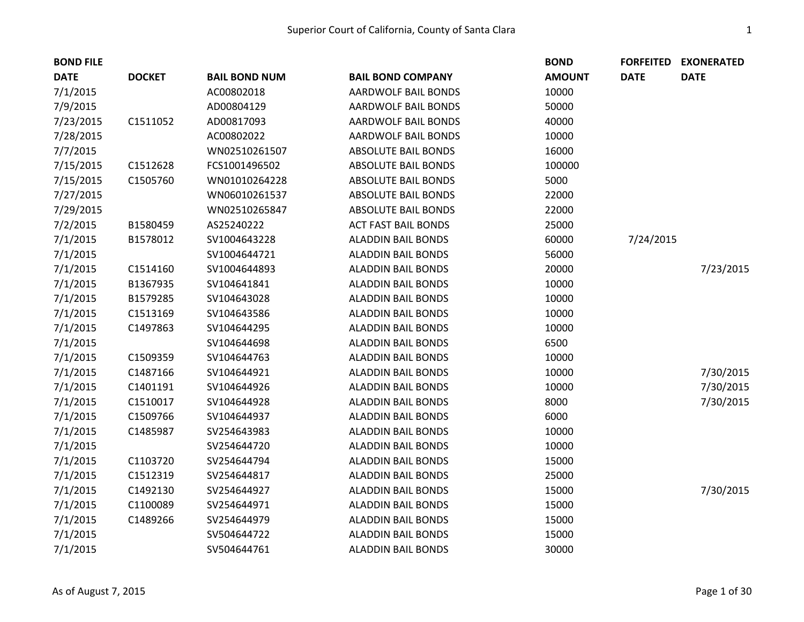| <b>BOND FILE</b> |               |                      |                            | <b>BOND</b>   | <b>FORFEITED</b> | <b>EXONERATED</b> |
|------------------|---------------|----------------------|----------------------------|---------------|------------------|-------------------|
| <b>DATE</b>      | <b>DOCKET</b> | <b>BAIL BOND NUM</b> | <b>BAIL BOND COMPANY</b>   | <b>AMOUNT</b> | <b>DATE</b>      | <b>DATE</b>       |
| 7/1/2015         |               | AC00802018           | <b>AARDWOLF BAIL BONDS</b> | 10000         |                  |                   |
| 7/9/2015         |               | AD00804129           | AARDWOLF BAIL BONDS        | 50000         |                  |                   |
| 7/23/2015        | C1511052      | AD00817093           | <b>AARDWOLF BAIL BONDS</b> | 40000         |                  |                   |
| 7/28/2015        |               | AC00802022           | AARDWOLF BAIL BONDS        | 10000         |                  |                   |
| 7/7/2015         |               | WN02510261507        | <b>ABSOLUTE BAIL BONDS</b> | 16000         |                  |                   |
| 7/15/2015        | C1512628      | FCS1001496502        | <b>ABSOLUTE BAIL BONDS</b> | 100000        |                  |                   |
| 7/15/2015        | C1505760      | WN01010264228        | <b>ABSOLUTE BAIL BONDS</b> | 5000          |                  |                   |
| 7/27/2015        |               | WN06010261537        | <b>ABSOLUTE BAIL BONDS</b> | 22000         |                  |                   |
| 7/29/2015        |               | WN02510265847        | <b>ABSOLUTE BAIL BONDS</b> | 22000         |                  |                   |
| 7/2/2015         | B1580459      | AS25240222           | <b>ACT FAST BAIL BONDS</b> | 25000         |                  |                   |
| 7/1/2015         | B1578012      | SV1004643228         | <b>ALADDIN BAIL BONDS</b>  | 60000         | 7/24/2015        |                   |
| 7/1/2015         |               | SV1004644721         | <b>ALADDIN BAIL BONDS</b>  | 56000         |                  |                   |
| 7/1/2015         | C1514160      | SV1004644893         | <b>ALADDIN BAIL BONDS</b>  | 20000         |                  | 7/23/2015         |
| 7/1/2015         | B1367935      | SV104641841          | <b>ALADDIN BAIL BONDS</b>  | 10000         |                  |                   |
| 7/1/2015         | B1579285      | SV104643028          | <b>ALADDIN BAIL BONDS</b>  | 10000         |                  |                   |
| 7/1/2015         | C1513169      | SV104643586          | <b>ALADDIN BAIL BONDS</b>  | 10000         |                  |                   |
| 7/1/2015         | C1497863      | SV104644295          | <b>ALADDIN BAIL BONDS</b>  | 10000         |                  |                   |
| 7/1/2015         |               | SV104644698          | <b>ALADDIN BAIL BONDS</b>  | 6500          |                  |                   |
| 7/1/2015         | C1509359      | SV104644763          | <b>ALADDIN BAIL BONDS</b>  | 10000         |                  |                   |
| 7/1/2015         | C1487166      | SV104644921          | <b>ALADDIN BAIL BONDS</b>  | 10000         |                  | 7/30/2015         |
| 7/1/2015         | C1401191      | SV104644926          | <b>ALADDIN BAIL BONDS</b>  | 10000         |                  | 7/30/2015         |
| 7/1/2015         | C1510017      | SV104644928          | <b>ALADDIN BAIL BONDS</b>  | 8000          |                  | 7/30/2015         |
| 7/1/2015         | C1509766      | SV104644937          | <b>ALADDIN BAIL BONDS</b>  | 6000          |                  |                   |
| 7/1/2015         | C1485987      | SV254643983          | <b>ALADDIN BAIL BONDS</b>  | 10000         |                  |                   |
| 7/1/2015         |               | SV254644720          | <b>ALADDIN BAIL BONDS</b>  | 10000         |                  |                   |
| 7/1/2015         | C1103720      | SV254644794          | <b>ALADDIN BAIL BONDS</b>  | 15000         |                  |                   |
| 7/1/2015         | C1512319      | SV254644817          | <b>ALADDIN BAIL BONDS</b>  | 25000         |                  |                   |
| 7/1/2015         | C1492130      | SV254644927          | <b>ALADDIN BAIL BONDS</b>  | 15000         |                  | 7/30/2015         |
| 7/1/2015         | C1100089      | SV254644971          | <b>ALADDIN BAIL BONDS</b>  | 15000         |                  |                   |
| 7/1/2015         | C1489266      | SV254644979          | <b>ALADDIN BAIL BONDS</b>  | 15000         |                  |                   |
| 7/1/2015         |               | SV504644722          | <b>ALADDIN BAIL BONDS</b>  | 15000         |                  |                   |
| 7/1/2015         |               | SV504644761          | <b>ALADDIN BAIL BONDS</b>  | 30000         |                  |                   |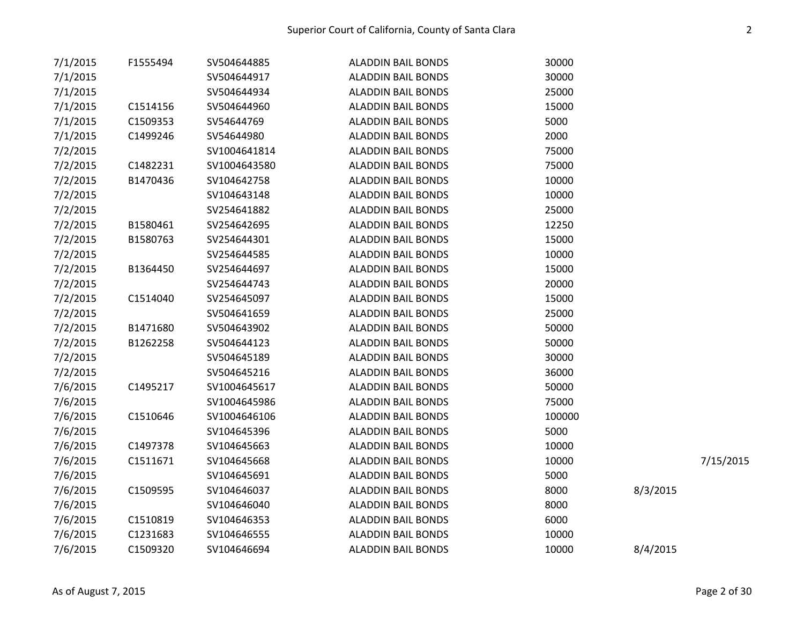| 7/1/2015 | F1555494 | SV504644885  | <b>ALADDIN BAIL BONDS</b> | 30000  |          |           |
|----------|----------|--------------|---------------------------|--------|----------|-----------|
| 7/1/2015 |          | SV504644917  | <b>ALADDIN BAIL BONDS</b> | 30000  |          |           |
| 7/1/2015 |          | SV504644934  | <b>ALADDIN BAIL BONDS</b> | 25000  |          |           |
| 7/1/2015 | C1514156 | SV504644960  | <b>ALADDIN BAIL BONDS</b> | 15000  |          |           |
| 7/1/2015 | C1509353 | SV54644769   | <b>ALADDIN BAIL BONDS</b> | 5000   |          |           |
| 7/1/2015 | C1499246 | SV54644980   | <b>ALADDIN BAIL BONDS</b> | 2000   |          |           |
| 7/2/2015 |          | SV1004641814 | <b>ALADDIN BAIL BONDS</b> | 75000  |          |           |
| 7/2/2015 | C1482231 | SV1004643580 | <b>ALADDIN BAIL BONDS</b> | 75000  |          |           |
| 7/2/2015 | B1470436 | SV104642758  | <b>ALADDIN BAIL BONDS</b> | 10000  |          |           |
| 7/2/2015 |          | SV104643148  | <b>ALADDIN BAIL BONDS</b> | 10000  |          |           |
| 7/2/2015 |          | SV254641882  | <b>ALADDIN BAIL BONDS</b> | 25000  |          |           |
| 7/2/2015 | B1580461 | SV254642695  | <b>ALADDIN BAIL BONDS</b> | 12250  |          |           |
| 7/2/2015 | B1580763 | SV254644301  | <b>ALADDIN BAIL BONDS</b> | 15000  |          |           |
| 7/2/2015 |          | SV254644585  | <b>ALADDIN BAIL BONDS</b> | 10000  |          |           |
| 7/2/2015 | B1364450 | SV254644697  | <b>ALADDIN BAIL BONDS</b> | 15000  |          |           |
| 7/2/2015 |          | SV254644743  | <b>ALADDIN BAIL BONDS</b> | 20000  |          |           |
| 7/2/2015 | C1514040 | SV254645097  | <b>ALADDIN BAIL BONDS</b> | 15000  |          |           |
| 7/2/2015 |          | SV504641659  | <b>ALADDIN BAIL BONDS</b> | 25000  |          |           |
| 7/2/2015 | B1471680 | SV504643902  | <b>ALADDIN BAIL BONDS</b> | 50000  |          |           |
| 7/2/2015 | B1262258 | SV504644123  | <b>ALADDIN BAIL BONDS</b> | 50000  |          |           |
| 7/2/2015 |          | SV504645189  | <b>ALADDIN BAIL BONDS</b> | 30000  |          |           |
| 7/2/2015 |          | SV504645216  | <b>ALADDIN BAIL BONDS</b> | 36000  |          |           |
| 7/6/2015 | C1495217 | SV1004645617 | <b>ALADDIN BAIL BONDS</b> | 50000  |          |           |
| 7/6/2015 |          | SV1004645986 | <b>ALADDIN BAIL BONDS</b> | 75000  |          |           |
| 7/6/2015 | C1510646 | SV1004646106 | <b>ALADDIN BAIL BONDS</b> | 100000 |          |           |
| 7/6/2015 |          | SV104645396  | <b>ALADDIN BAIL BONDS</b> | 5000   |          |           |
| 7/6/2015 | C1497378 | SV104645663  | <b>ALADDIN BAIL BONDS</b> | 10000  |          |           |
| 7/6/2015 | C1511671 | SV104645668  | <b>ALADDIN BAIL BONDS</b> | 10000  |          | 7/15/2015 |
| 7/6/2015 |          | SV104645691  | <b>ALADDIN BAIL BONDS</b> | 5000   |          |           |
| 7/6/2015 | C1509595 | SV104646037  | <b>ALADDIN BAIL BONDS</b> | 8000   | 8/3/2015 |           |
| 7/6/2015 |          | SV104646040  | <b>ALADDIN BAIL BONDS</b> | 8000   |          |           |
| 7/6/2015 | C1510819 | SV104646353  | <b>ALADDIN BAIL BONDS</b> | 6000   |          |           |
| 7/6/2015 | C1231683 | SV104646555  | <b>ALADDIN BAIL BONDS</b> | 10000  |          |           |
| 7/6/2015 | C1509320 | SV104646694  | <b>ALADDIN BAIL BONDS</b> | 10000  | 8/4/2015 |           |
|          |          |              |                           |        |          |           |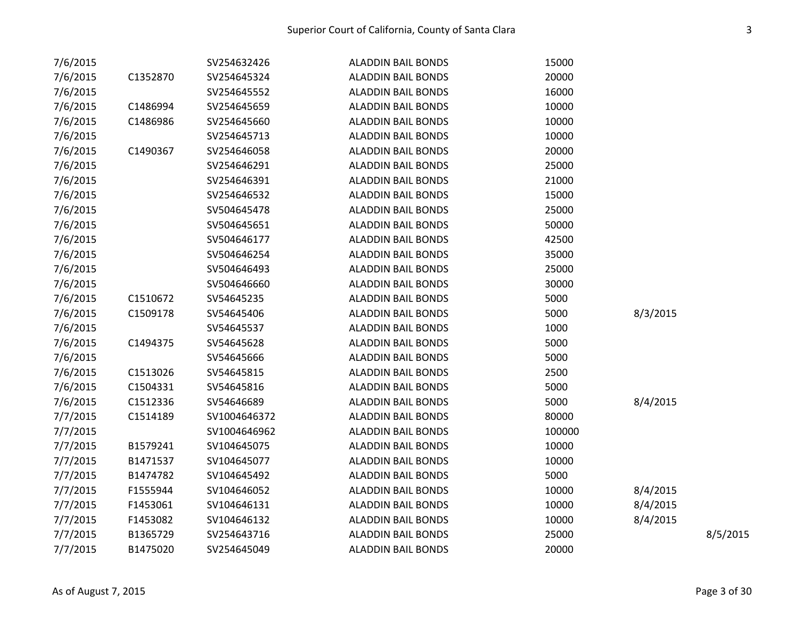| 7/6/2015 |          | SV254632426  | <b>ALADDIN BAIL BONDS</b> | 15000  |          |          |
|----------|----------|--------------|---------------------------|--------|----------|----------|
| 7/6/2015 | C1352870 | SV254645324  | <b>ALADDIN BAIL BONDS</b> | 20000  |          |          |
| 7/6/2015 |          | SV254645552  | <b>ALADDIN BAIL BONDS</b> | 16000  |          |          |
| 7/6/2015 | C1486994 | SV254645659  | <b>ALADDIN BAIL BONDS</b> | 10000  |          |          |
| 7/6/2015 | C1486986 | SV254645660  | <b>ALADDIN BAIL BONDS</b> | 10000  |          |          |
| 7/6/2015 |          | SV254645713  | <b>ALADDIN BAIL BONDS</b> | 10000  |          |          |
| 7/6/2015 | C1490367 | SV254646058  | <b>ALADDIN BAIL BONDS</b> | 20000  |          |          |
| 7/6/2015 |          | SV254646291  | <b>ALADDIN BAIL BONDS</b> | 25000  |          |          |
| 7/6/2015 |          | SV254646391  | <b>ALADDIN BAIL BONDS</b> | 21000  |          |          |
| 7/6/2015 |          | SV254646532  | <b>ALADDIN BAIL BONDS</b> | 15000  |          |          |
| 7/6/2015 |          | SV504645478  | <b>ALADDIN BAIL BONDS</b> | 25000  |          |          |
| 7/6/2015 |          | SV504645651  | <b>ALADDIN BAIL BONDS</b> | 50000  |          |          |
| 7/6/2015 |          | SV504646177  | <b>ALADDIN BAIL BONDS</b> | 42500  |          |          |
| 7/6/2015 |          | SV504646254  | <b>ALADDIN BAIL BONDS</b> | 35000  |          |          |
| 7/6/2015 |          | SV504646493  | <b>ALADDIN BAIL BONDS</b> | 25000  |          |          |
| 7/6/2015 |          | SV504646660  | <b>ALADDIN BAIL BONDS</b> | 30000  |          |          |
| 7/6/2015 | C1510672 | SV54645235   | <b>ALADDIN BAIL BONDS</b> | 5000   |          |          |
| 7/6/2015 | C1509178 | SV54645406   | <b>ALADDIN BAIL BONDS</b> | 5000   | 8/3/2015 |          |
| 7/6/2015 |          | SV54645537   | <b>ALADDIN BAIL BONDS</b> | 1000   |          |          |
| 7/6/2015 | C1494375 | SV54645628   | <b>ALADDIN BAIL BONDS</b> | 5000   |          |          |
| 7/6/2015 |          | SV54645666   | <b>ALADDIN BAIL BONDS</b> | 5000   |          |          |
| 7/6/2015 | C1513026 | SV54645815   | <b>ALADDIN BAIL BONDS</b> | 2500   |          |          |
| 7/6/2015 | C1504331 | SV54645816   | <b>ALADDIN BAIL BONDS</b> | 5000   |          |          |
| 7/6/2015 | C1512336 | SV54646689   | <b>ALADDIN BAIL BONDS</b> | 5000   | 8/4/2015 |          |
| 7/7/2015 | C1514189 | SV1004646372 | <b>ALADDIN BAIL BONDS</b> | 80000  |          |          |
| 7/7/2015 |          | SV1004646962 | <b>ALADDIN BAIL BONDS</b> | 100000 |          |          |
| 7/7/2015 | B1579241 | SV104645075  | <b>ALADDIN BAIL BONDS</b> | 10000  |          |          |
| 7/7/2015 | B1471537 | SV104645077  | <b>ALADDIN BAIL BONDS</b> | 10000  |          |          |
| 7/7/2015 | B1474782 | SV104645492  | <b>ALADDIN BAIL BONDS</b> | 5000   |          |          |
| 7/7/2015 | F1555944 | SV104646052  | <b>ALADDIN BAIL BONDS</b> | 10000  | 8/4/2015 |          |
| 7/7/2015 | F1453061 | SV104646131  | <b>ALADDIN BAIL BONDS</b> | 10000  | 8/4/2015 |          |
| 7/7/2015 | F1453082 | SV104646132  | <b>ALADDIN BAIL BONDS</b> | 10000  | 8/4/2015 |          |
| 7/7/2015 | B1365729 | SV254643716  | <b>ALADDIN BAIL BONDS</b> | 25000  |          | 8/5/2015 |
| 7/7/2015 | B1475020 | SV254645049  | <b>ALADDIN BAIL BONDS</b> | 20000  |          |          |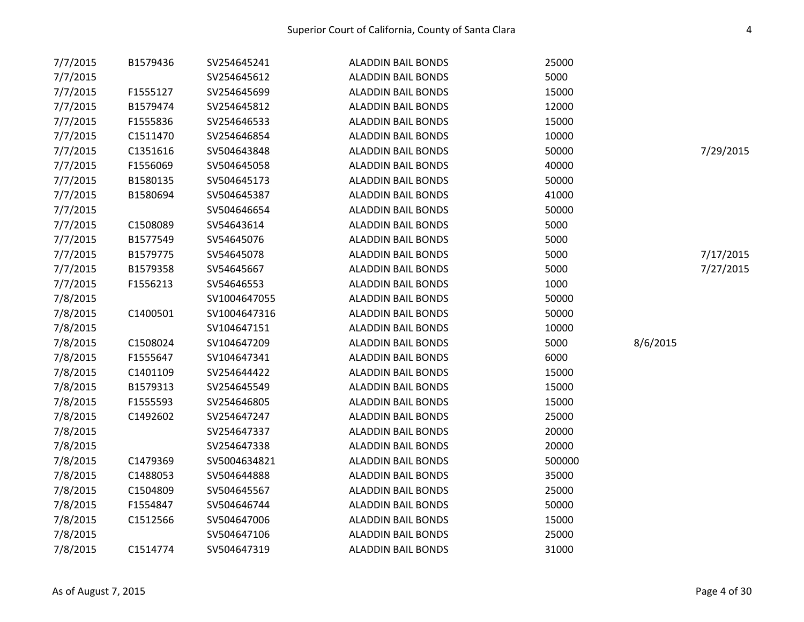| 7/7/2015 | B1579436 | SV254645241  | <b>ALADDIN BAIL BONDS</b> | 25000  |          |           |
|----------|----------|--------------|---------------------------|--------|----------|-----------|
| 7/7/2015 |          | SV254645612  | <b>ALADDIN BAIL BONDS</b> | 5000   |          |           |
| 7/7/2015 | F1555127 | SV254645699  | <b>ALADDIN BAIL BONDS</b> | 15000  |          |           |
| 7/7/2015 | B1579474 | SV254645812  | <b>ALADDIN BAIL BONDS</b> | 12000  |          |           |
| 7/7/2015 | F1555836 | SV254646533  | <b>ALADDIN BAIL BONDS</b> | 15000  |          |           |
| 7/7/2015 | C1511470 | SV254646854  | <b>ALADDIN BAIL BONDS</b> | 10000  |          |           |
| 7/7/2015 | C1351616 | SV504643848  | <b>ALADDIN BAIL BONDS</b> | 50000  |          | 7/29/2015 |
| 7/7/2015 | F1556069 | SV504645058  | <b>ALADDIN BAIL BONDS</b> | 40000  |          |           |
| 7/7/2015 | B1580135 | SV504645173  | <b>ALADDIN BAIL BONDS</b> | 50000  |          |           |
| 7/7/2015 | B1580694 | SV504645387  | <b>ALADDIN BAIL BONDS</b> | 41000  |          |           |
| 7/7/2015 |          | SV504646654  | <b>ALADDIN BAIL BONDS</b> | 50000  |          |           |
| 7/7/2015 | C1508089 | SV54643614   | <b>ALADDIN BAIL BONDS</b> | 5000   |          |           |
| 7/7/2015 | B1577549 | SV54645076   | <b>ALADDIN BAIL BONDS</b> | 5000   |          |           |
| 7/7/2015 | B1579775 | SV54645078   | <b>ALADDIN BAIL BONDS</b> | 5000   |          | 7/17/2015 |
| 7/7/2015 | B1579358 | SV54645667   | <b>ALADDIN BAIL BONDS</b> | 5000   |          | 7/27/2015 |
| 7/7/2015 | F1556213 | SV54646553   | <b>ALADDIN BAIL BONDS</b> | 1000   |          |           |
| 7/8/2015 |          | SV1004647055 | <b>ALADDIN BAIL BONDS</b> | 50000  |          |           |
| 7/8/2015 | C1400501 | SV1004647316 | <b>ALADDIN BAIL BONDS</b> | 50000  |          |           |
| 7/8/2015 |          | SV104647151  | <b>ALADDIN BAIL BONDS</b> | 10000  |          |           |
| 7/8/2015 | C1508024 | SV104647209  | <b>ALADDIN BAIL BONDS</b> | 5000   | 8/6/2015 |           |
| 7/8/2015 | F1555647 | SV104647341  | <b>ALADDIN BAIL BONDS</b> | 6000   |          |           |
| 7/8/2015 | C1401109 | SV254644422  | <b>ALADDIN BAIL BONDS</b> | 15000  |          |           |
| 7/8/2015 | B1579313 | SV254645549  | <b>ALADDIN BAIL BONDS</b> | 15000  |          |           |
| 7/8/2015 | F1555593 | SV254646805  | <b>ALADDIN BAIL BONDS</b> | 15000  |          |           |
| 7/8/2015 | C1492602 | SV254647247  | <b>ALADDIN BAIL BONDS</b> | 25000  |          |           |
| 7/8/2015 |          | SV254647337  | <b>ALADDIN BAIL BONDS</b> | 20000  |          |           |
| 7/8/2015 |          | SV254647338  | <b>ALADDIN BAIL BONDS</b> | 20000  |          |           |
| 7/8/2015 | C1479369 | SV5004634821 | <b>ALADDIN BAIL BONDS</b> | 500000 |          |           |
| 7/8/2015 | C1488053 | SV504644888  | <b>ALADDIN BAIL BONDS</b> | 35000  |          |           |
| 7/8/2015 | C1504809 | SV504645567  | <b>ALADDIN BAIL BONDS</b> | 25000  |          |           |
| 7/8/2015 | F1554847 | SV504646744  | <b>ALADDIN BAIL BONDS</b> | 50000  |          |           |
| 7/8/2015 | C1512566 | SV504647006  | <b>ALADDIN BAIL BONDS</b> | 15000  |          |           |
| 7/8/2015 |          | SV504647106  | <b>ALADDIN BAIL BONDS</b> | 25000  |          |           |
| 7/8/2015 | C1514774 | SV504647319  | <b>ALADDIN BAIL BONDS</b> | 31000  |          |           |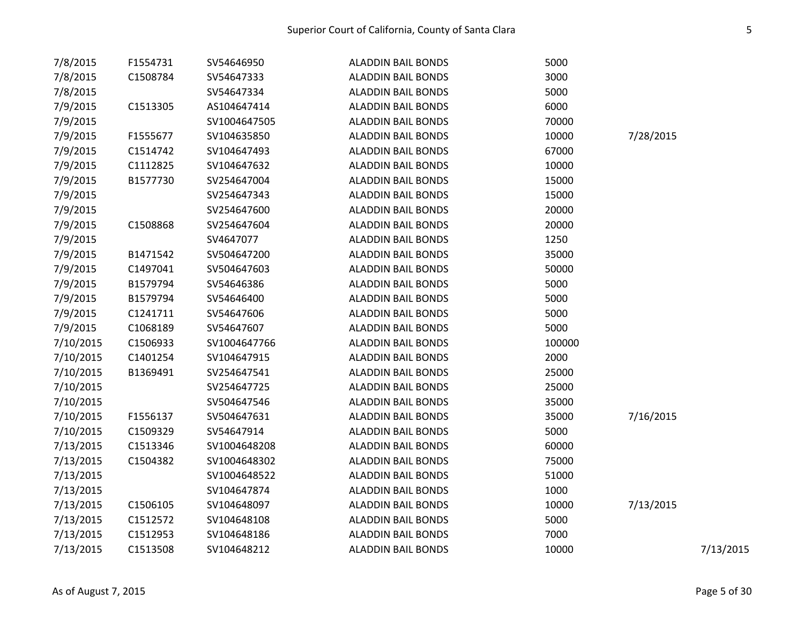| 7/8/2015  | F1554731 | SV54646950   | <b>ALADDIN BAIL BONDS</b> | 5000   |           |           |
|-----------|----------|--------------|---------------------------|--------|-----------|-----------|
| 7/8/2015  | C1508784 | SV54647333   | <b>ALADDIN BAIL BONDS</b> | 3000   |           |           |
| 7/8/2015  |          | SV54647334   | <b>ALADDIN BAIL BONDS</b> | 5000   |           |           |
| 7/9/2015  | C1513305 | AS104647414  | <b>ALADDIN BAIL BONDS</b> | 6000   |           |           |
| 7/9/2015  |          | SV1004647505 | <b>ALADDIN BAIL BONDS</b> | 70000  |           |           |
| 7/9/2015  | F1555677 | SV104635850  | <b>ALADDIN BAIL BONDS</b> | 10000  | 7/28/2015 |           |
| 7/9/2015  | C1514742 | SV104647493  | <b>ALADDIN BAIL BONDS</b> | 67000  |           |           |
| 7/9/2015  | C1112825 | SV104647632  | <b>ALADDIN BAIL BONDS</b> | 10000  |           |           |
| 7/9/2015  | B1577730 | SV254647004  | <b>ALADDIN BAIL BONDS</b> | 15000  |           |           |
| 7/9/2015  |          | SV254647343  | <b>ALADDIN BAIL BONDS</b> | 15000  |           |           |
| 7/9/2015  |          | SV254647600  | <b>ALADDIN BAIL BONDS</b> | 20000  |           |           |
| 7/9/2015  | C1508868 | SV254647604  | <b>ALADDIN BAIL BONDS</b> | 20000  |           |           |
| 7/9/2015  |          | SV4647077    | <b>ALADDIN BAIL BONDS</b> | 1250   |           |           |
| 7/9/2015  | B1471542 | SV504647200  | <b>ALADDIN BAIL BONDS</b> | 35000  |           |           |
| 7/9/2015  | C1497041 | SV504647603  | <b>ALADDIN BAIL BONDS</b> | 50000  |           |           |
| 7/9/2015  | B1579794 | SV54646386   | <b>ALADDIN BAIL BONDS</b> | 5000   |           |           |
| 7/9/2015  | B1579794 | SV54646400   | <b>ALADDIN BAIL BONDS</b> | 5000   |           |           |
| 7/9/2015  | C1241711 | SV54647606   | <b>ALADDIN BAIL BONDS</b> | 5000   |           |           |
| 7/9/2015  | C1068189 | SV54647607   | <b>ALADDIN BAIL BONDS</b> | 5000   |           |           |
| 7/10/2015 | C1506933 | SV1004647766 | <b>ALADDIN BAIL BONDS</b> | 100000 |           |           |
| 7/10/2015 | C1401254 | SV104647915  | <b>ALADDIN BAIL BONDS</b> | 2000   |           |           |
| 7/10/2015 | B1369491 | SV254647541  | <b>ALADDIN BAIL BONDS</b> | 25000  |           |           |
| 7/10/2015 |          | SV254647725  | <b>ALADDIN BAIL BONDS</b> | 25000  |           |           |
| 7/10/2015 |          | SV504647546  | <b>ALADDIN BAIL BONDS</b> | 35000  |           |           |
| 7/10/2015 | F1556137 | SV504647631  | <b>ALADDIN BAIL BONDS</b> | 35000  | 7/16/2015 |           |
| 7/10/2015 | C1509329 | SV54647914   | <b>ALADDIN BAIL BONDS</b> | 5000   |           |           |
| 7/13/2015 | C1513346 | SV1004648208 | <b>ALADDIN BAIL BONDS</b> | 60000  |           |           |
| 7/13/2015 | C1504382 | SV1004648302 | <b>ALADDIN BAIL BONDS</b> | 75000  |           |           |
| 7/13/2015 |          | SV1004648522 | <b>ALADDIN BAIL BONDS</b> | 51000  |           |           |
| 7/13/2015 |          | SV104647874  | <b>ALADDIN BAIL BONDS</b> | 1000   |           |           |
| 7/13/2015 | C1506105 | SV104648097  | <b>ALADDIN BAIL BONDS</b> | 10000  | 7/13/2015 |           |
| 7/13/2015 | C1512572 | SV104648108  | <b>ALADDIN BAIL BONDS</b> | 5000   |           |           |
| 7/13/2015 | C1512953 | SV104648186  | <b>ALADDIN BAIL BONDS</b> | 7000   |           |           |
| 7/13/2015 | C1513508 | SV104648212  | <b>ALADDIN BAIL BONDS</b> | 10000  |           | 7/13/2015 |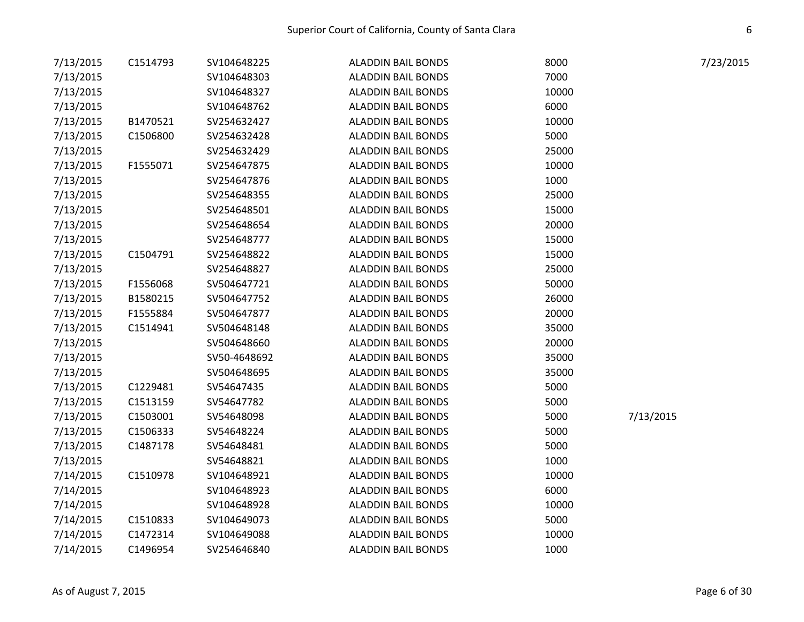| 7/13/2015 | C1514793 | SV104648225  | <b>ALADDIN BAIL BONDS</b> | 8000  | 7/23/2015 |  |
|-----------|----------|--------------|---------------------------|-------|-----------|--|
| 7/13/2015 |          | SV104648303  | <b>ALADDIN BAIL BONDS</b> | 7000  |           |  |
| 7/13/2015 |          | SV104648327  | <b>ALADDIN BAIL BONDS</b> | 10000 |           |  |
| 7/13/2015 |          | SV104648762  | <b>ALADDIN BAIL BONDS</b> | 6000  |           |  |
| 7/13/2015 | B1470521 | SV254632427  | <b>ALADDIN BAIL BONDS</b> | 10000 |           |  |
| 7/13/2015 | C1506800 | SV254632428  | <b>ALADDIN BAIL BONDS</b> | 5000  |           |  |
| 7/13/2015 |          | SV254632429  | <b>ALADDIN BAIL BONDS</b> | 25000 |           |  |
| 7/13/2015 | F1555071 | SV254647875  | <b>ALADDIN BAIL BONDS</b> | 10000 |           |  |
| 7/13/2015 |          | SV254647876  | <b>ALADDIN BAIL BONDS</b> | 1000  |           |  |
| 7/13/2015 |          | SV254648355  | <b>ALADDIN BAIL BONDS</b> | 25000 |           |  |
| 7/13/2015 |          | SV254648501  | <b>ALADDIN BAIL BONDS</b> | 15000 |           |  |
| 7/13/2015 |          | SV254648654  | <b>ALADDIN BAIL BONDS</b> | 20000 |           |  |
| 7/13/2015 |          | SV254648777  | <b>ALADDIN BAIL BONDS</b> | 15000 |           |  |
| 7/13/2015 | C1504791 | SV254648822  | <b>ALADDIN BAIL BONDS</b> | 15000 |           |  |
| 7/13/2015 |          | SV254648827  | <b>ALADDIN BAIL BONDS</b> | 25000 |           |  |
| 7/13/2015 | F1556068 | SV504647721  | <b>ALADDIN BAIL BONDS</b> | 50000 |           |  |
| 7/13/2015 | B1580215 | SV504647752  | <b>ALADDIN BAIL BONDS</b> | 26000 |           |  |
| 7/13/2015 | F1555884 | SV504647877  | <b>ALADDIN BAIL BONDS</b> | 20000 |           |  |
| 7/13/2015 | C1514941 | SV504648148  | <b>ALADDIN BAIL BONDS</b> | 35000 |           |  |
| 7/13/2015 |          | SV504648660  | <b>ALADDIN BAIL BONDS</b> | 20000 |           |  |
| 7/13/2015 |          | SV50-4648692 | <b>ALADDIN BAIL BONDS</b> | 35000 |           |  |
| 7/13/2015 |          | SV504648695  | <b>ALADDIN BAIL BONDS</b> | 35000 |           |  |
| 7/13/2015 | C1229481 | SV54647435   | <b>ALADDIN BAIL BONDS</b> | 5000  |           |  |
| 7/13/2015 | C1513159 | SV54647782   | <b>ALADDIN BAIL BONDS</b> | 5000  |           |  |
| 7/13/2015 | C1503001 | SV54648098   | <b>ALADDIN BAIL BONDS</b> | 5000  | 7/13/2015 |  |
| 7/13/2015 | C1506333 | SV54648224   | <b>ALADDIN BAIL BONDS</b> | 5000  |           |  |
| 7/13/2015 | C1487178 | SV54648481   | <b>ALADDIN BAIL BONDS</b> | 5000  |           |  |
| 7/13/2015 |          | SV54648821   | <b>ALADDIN BAIL BONDS</b> | 1000  |           |  |
| 7/14/2015 | C1510978 | SV104648921  | <b>ALADDIN BAIL BONDS</b> | 10000 |           |  |
| 7/14/2015 |          | SV104648923  | <b>ALADDIN BAIL BONDS</b> | 6000  |           |  |
| 7/14/2015 |          | SV104648928  | <b>ALADDIN BAIL BONDS</b> | 10000 |           |  |
| 7/14/2015 | C1510833 | SV104649073  | <b>ALADDIN BAIL BONDS</b> | 5000  |           |  |
| 7/14/2015 | C1472314 | SV104649088  | <b>ALADDIN BAIL BONDS</b> | 10000 |           |  |
| 7/14/2015 | C1496954 | SV254646840  | <b>ALADDIN BAIL BONDS</b> | 1000  |           |  |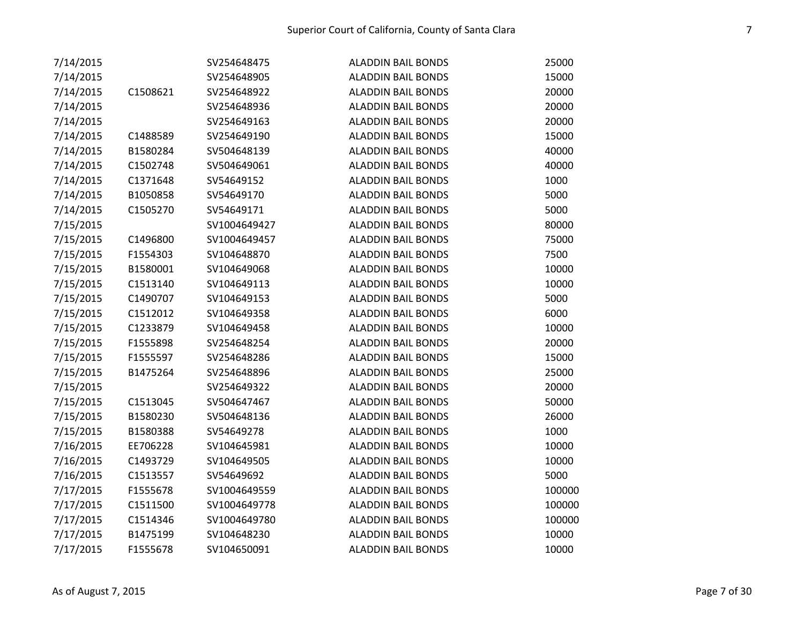| 7/14/2015 |          | SV254648475  | <b>ALADDIN BAIL BONDS</b> | 25000  |
|-----------|----------|--------------|---------------------------|--------|
| 7/14/2015 |          | SV254648905  | <b>ALADDIN BAIL BONDS</b> | 15000  |
| 7/14/2015 | C1508621 | SV254648922  | <b>ALADDIN BAIL BONDS</b> | 20000  |
| 7/14/2015 |          | SV254648936  | <b>ALADDIN BAIL BONDS</b> | 20000  |
| 7/14/2015 |          | SV254649163  | <b>ALADDIN BAIL BONDS</b> | 20000  |
| 7/14/2015 | C1488589 | SV254649190  | <b>ALADDIN BAIL BONDS</b> | 15000  |
| 7/14/2015 | B1580284 | SV504648139  | <b>ALADDIN BAIL BONDS</b> | 40000  |
| 7/14/2015 | C1502748 | SV504649061  | <b>ALADDIN BAIL BONDS</b> | 40000  |
| 7/14/2015 | C1371648 | SV54649152   | <b>ALADDIN BAIL BONDS</b> | 1000   |
| 7/14/2015 | B1050858 | SV54649170   | <b>ALADDIN BAIL BONDS</b> | 5000   |
| 7/14/2015 | C1505270 | SV54649171   | <b>ALADDIN BAIL BONDS</b> | 5000   |
| 7/15/2015 |          | SV1004649427 | <b>ALADDIN BAIL BONDS</b> | 80000  |
| 7/15/2015 | C1496800 | SV1004649457 | <b>ALADDIN BAIL BONDS</b> | 75000  |
| 7/15/2015 | F1554303 | SV104648870  | <b>ALADDIN BAIL BONDS</b> | 7500   |
| 7/15/2015 | B1580001 | SV104649068  | <b>ALADDIN BAIL BONDS</b> | 10000  |
| 7/15/2015 | C1513140 | SV104649113  | <b>ALADDIN BAIL BONDS</b> | 10000  |
| 7/15/2015 | C1490707 | SV104649153  | <b>ALADDIN BAIL BONDS</b> | 5000   |
| 7/15/2015 | C1512012 | SV104649358  | <b>ALADDIN BAIL BONDS</b> | 6000   |
| 7/15/2015 | C1233879 | SV104649458  | <b>ALADDIN BAIL BONDS</b> | 10000  |
| 7/15/2015 | F1555898 | SV254648254  | <b>ALADDIN BAIL BONDS</b> | 20000  |
| 7/15/2015 | F1555597 | SV254648286  | <b>ALADDIN BAIL BONDS</b> | 15000  |
| 7/15/2015 | B1475264 | SV254648896  | <b>ALADDIN BAIL BONDS</b> | 25000  |
| 7/15/2015 |          | SV254649322  | <b>ALADDIN BAIL BONDS</b> | 20000  |
| 7/15/2015 | C1513045 | SV504647467  | <b>ALADDIN BAIL BONDS</b> | 50000  |
| 7/15/2015 | B1580230 | SV504648136  | <b>ALADDIN BAIL BONDS</b> | 26000  |
| 7/15/2015 | B1580388 | SV54649278   | <b>ALADDIN BAIL BONDS</b> | 1000   |
| 7/16/2015 | EE706228 | SV104645981  | <b>ALADDIN BAIL BONDS</b> | 10000  |
| 7/16/2015 | C1493729 | SV104649505  | <b>ALADDIN BAIL BONDS</b> | 10000  |
| 7/16/2015 | C1513557 | SV54649692   | <b>ALADDIN BAIL BONDS</b> | 5000   |
| 7/17/2015 | F1555678 | SV1004649559 | <b>ALADDIN BAIL BONDS</b> | 100000 |
| 7/17/2015 | C1511500 | SV1004649778 | <b>ALADDIN BAIL BONDS</b> | 100000 |
| 7/17/2015 | C1514346 | SV1004649780 | <b>ALADDIN BAIL BONDS</b> | 100000 |
| 7/17/2015 | B1475199 | SV104648230  | <b>ALADDIN BAIL BONDS</b> | 10000  |
| 7/17/2015 | F1555678 | SV104650091  | <b>ALADDIN BAIL BONDS</b> | 10000  |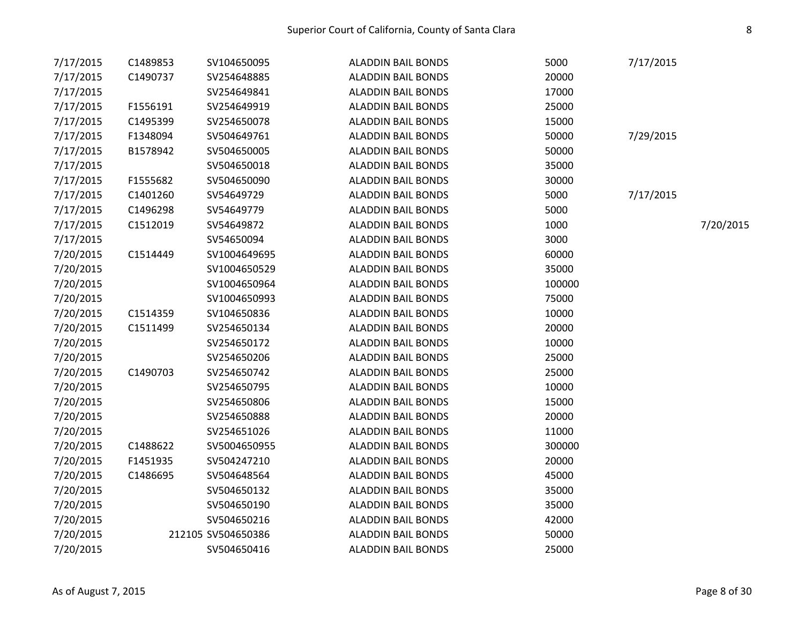| 7/17/2015 | C1489853 | SV104650095        | <b>ALADDIN BAIL BONDS</b> | 5000   | 7/17/2015 |           |
|-----------|----------|--------------------|---------------------------|--------|-----------|-----------|
| 7/17/2015 | C1490737 | SV254648885        | <b>ALADDIN BAIL BONDS</b> | 20000  |           |           |
| 7/17/2015 |          | SV254649841        | <b>ALADDIN BAIL BONDS</b> | 17000  |           |           |
| 7/17/2015 | F1556191 | SV254649919        | <b>ALADDIN BAIL BONDS</b> | 25000  |           |           |
| 7/17/2015 | C1495399 | SV254650078        | <b>ALADDIN BAIL BONDS</b> | 15000  |           |           |
| 7/17/2015 | F1348094 | SV504649761        | <b>ALADDIN BAIL BONDS</b> | 50000  | 7/29/2015 |           |
| 7/17/2015 | B1578942 | SV504650005        | <b>ALADDIN BAIL BONDS</b> | 50000  |           |           |
| 7/17/2015 |          | SV504650018        | <b>ALADDIN BAIL BONDS</b> | 35000  |           |           |
| 7/17/2015 | F1555682 | SV504650090        | <b>ALADDIN BAIL BONDS</b> | 30000  |           |           |
| 7/17/2015 | C1401260 | SV54649729         | <b>ALADDIN BAIL BONDS</b> | 5000   | 7/17/2015 |           |
| 7/17/2015 | C1496298 | SV54649779         | <b>ALADDIN BAIL BONDS</b> | 5000   |           |           |
| 7/17/2015 | C1512019 | SV54649872         | <b>ALADDIN BAIL BONDS</b> | 1000   |           | 7/20/2015 |
| 7/17/2015 |          | SV54650094         | <b>ALADDIN BAIL BONDS</b> | 3000   |           |           |
| 7/20/2015 | C1514449 | SV1004649695       | <b>ALADDIN BAIL BONDS</b> | 60000  |           |           |
| 7/20/2015 |          | SV1004650529       | <b>ALADDIN BAIL BONDS</b> | 35000  |           |           |
| 7/20/2015 |          | SV1004650964       | <b>ALADDIN BAIL BONDS</b> | 100000 |           |           |
| 7/20/2015 |          | SV1004650993       | <b>ALADDIN BAIL BONDS</b> | 75000  |           |           |
| 7/20/2015 | C1514359 | SV104650836        | <b>ALADDIN BAIL BONDS</b> | 10000  |           |           |
| 7/20/2015 | C1511499 | SV254650134        | <b>ALADDIN BAIL BONDS</b> | 20000  |           |           |
| 7/20/2015 |          | SV254650172        | <b>ALADDIN BAIL BONDS</b> | 10000  |           |           |
| 7/20/2015 |          | SV254650206        | <b>ALADDIN BAIL BONDS</b> | 25000  |           |           |
| 7/20/2015 | C1490703 | SV254650742        | <b>ALADDIN BAIL BONDS</b> | 25000  |           |           |
| 7/20/2015 |          | SV254650795        | <b>ALADDIN BAIL BONDS</b> | 10000  |           |           |
| 7/20/2015 |          | SV254650806        | <b>ALADDIN BAIL BONDS</b> | 15000  |           |           |
| 7/20/2015 |          | SV254650888        | <b>ALADDIN BAIL BONDS</b> | 20000  |           |           |
| 7/20/2015 |          | SV254651026        | <b>ALADDIN BAIL BONDS</b> | 11000  |           |           |
| 7/20/2015 | C1488622 | SV5004650955       | <b>ALADDIN BAIL BONDS</b> | 300000 |           |           |
| 7/20/2015 | F1451935 | SV504247210        | <b>ALADDIN BAIL BONDS</b> | 20000  |           |           |
| 7/20/2015 | C1486695 | SV504648564        | <b>ALADDIN BAIL BONDS</b> | 45000  |           |           |
| 7/20/2015 |          | SV504650132        | <b>ALADDIN BAIL BONDS</b> | 35000  |           |           |
| 7/20/2015 |          | SV504650190        | <b>ALADDIN BAIL BONDS</b> | 35000  |           |           |
| 7/20/2015 |          | SV504650216        | <b>ALADDIN BAIL BONDS</b> | 42000  |           |           |
| 7/20/2015 |          | 212105 SV504650386 | <b>ALADDIN BAIL BONDS</b> | 50000  |           |           |
| 7/20/2015 |          | SV504650416        | <b>ALADDIN BAIL BONDS</b> | 25000  |           |           |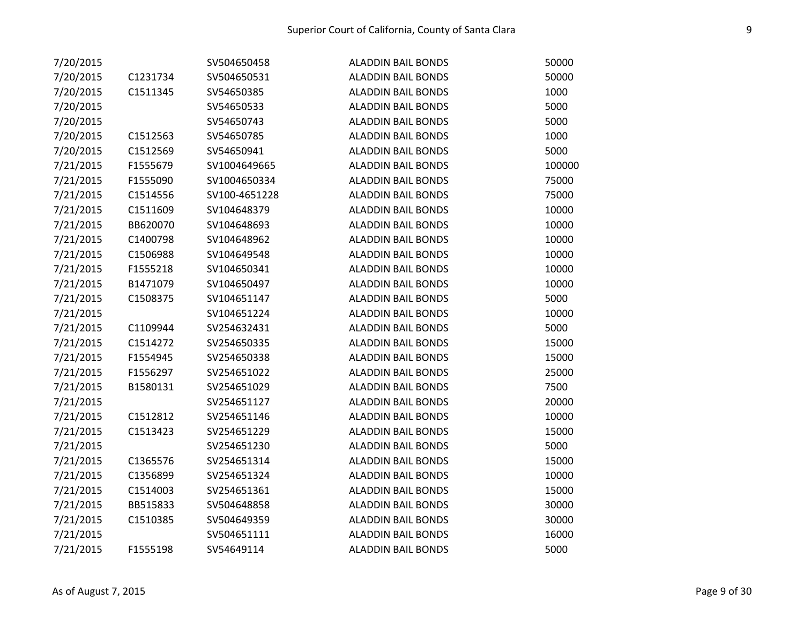| 7/20/2015 |          | SV504650458   | <b>ALADDIN BAIL BONDS</b> | 50000  |
|-----------|----------|---------------|---------------------------|--------|
| 7/20/2015 | C1231734 | SV504650531   | <b>ALADDIN BAIL BONDS</b> | 50000  |
| 7/20/2015 | C1511345 | SV54650385    | <b>ALADDIN BAIL BONDS</b> | 1000   |
| 7/20/2015 |          | SV54650533    | <b>ALADDIN BAIL BONDS</b> | 5000   |
| 7/20/2015 |          | SV54650743    | <b>ALADDIN BAIL BONDS</b> | 5000   |
| 7/20/2015 | C1512563 | SV54650785    | <b>ALADDIN BAIL BONDS</b> | 1000   |
| 7/20/2015 | C1512569 | SV54650941    | <b>ALADDIN BAIL BONDS</b> | 5000   |
| 7/21/2015 | F1555679 | SV1004649665  | <b>ALADDIN BAIL BONDS</b> | 100000 |
| 7/21/2015 | F1555090 | SV1004650334  | <b>ALADDIN BAIL BONDS</b> | 75000  |
| 7/21/2015 | C1514556 | SV100-4651228 | <b>ALADDIN BAIL BONDS</b> | 75000  |
| 7/21/2015 | C1511609 | SV104648379   | <b>ALADDIN BAIL BONDS</b> | 10000  |
| 7/21/2015 | BB620070 | SV104648693   | <b>ALADDIN BAIL BONDS</b> | 10000  |
| 7/21/2015 | C1400798 | SV104648962   | <b>ALADDIN BAIL BONDS</b> | 10000  |
| 7/21/2015 | C1506988 | SV104649548   | <b>ALADDIN BAIL BONDS</b> | 10000  |
| 7/21/2015 | F1555218 | SV104650341   | <b>ALADDIN BAIL BONDS</b> | 10000  |
| 7/21/2015 | B1471079 | SV104650497   | <b>ALADDIN BAIL BONDS</b> | 10000  |
| 7/21/2015 | C1508375 | SV104651147   | <b>ALADDIN BAIL BONDS</b> | 5000   |
| 7/21/2015 |          | SV104651224   | <b>ALADDIN BAIL BONDS</b> | 10000  |
| 7/21/2015 | C1109944 | SV254632431   | <b>ALADDIN BAIL BONDS</b> | 5000   |
| 7/21/2015 | C1514272 | SV254650335   | <b>ALADDIN BAIL BONDS</b> | 15000  |
| 7/21/2015 | F1554945 | SV254650338   | <b>ALADDIN BAIL BONDS</b> | 15000  |
| 7/21/2015 | F1556297 | SV254651022   | <b>ALADDIN BAIL BONDS</b> | 25000  |
| 7/21/2015 | B1580131 | SV254651029   | <b>ALADDIN BAIL BONDS</b> | 7500   |
| 7/21/2015 |          | SV254651127   | <b>ALADDIN BAIL BONDS</b> | 20000  |
| 7/21/2015 | C1512812 | SV254651146   | <b>ALADDIN BAIL BONDS</b> | 10000  |
| 7/21/2015 | C1513423 | SV254651229   | <b>ALADDIN BAIL BONDS</b> | 15000  |
| 7/21/2015 |          | SV254651230   | <b>ALADDIN BAIL BONDS</b> | 5000   |
| 7/21/2015 | C1365576 | SV254651314   | <b>ALADDIN BAIL BONDS</b> | 15000  |
| 7/21/2015 | C1356899 | SV254651324   | <b>ALADDIN BAIL BONDS</b> | 10000  |
| 7/21/2015 | C1514003 | SV254651361   | <b>ALADDIN BAIL BONDS</b> | 15000  |
| 7/21/2015 | BB515833 | SV504648858   | <b>ALADDIN BAIL BONDS</b> | 30000  |
| 7/21/2015 | C1510385 | SV504649359   | <b>ALADDIN BAIL BONDS</b> | 30000  |
| 7/21/2015 |          | SV504651111   | <b>ALADDIN BAIL BONDS</b> | 16000  |
| 7/21/2015 | F1555198 | SV54649114    | <b>ALADDIN BAIL BONDS</b> | 5000   |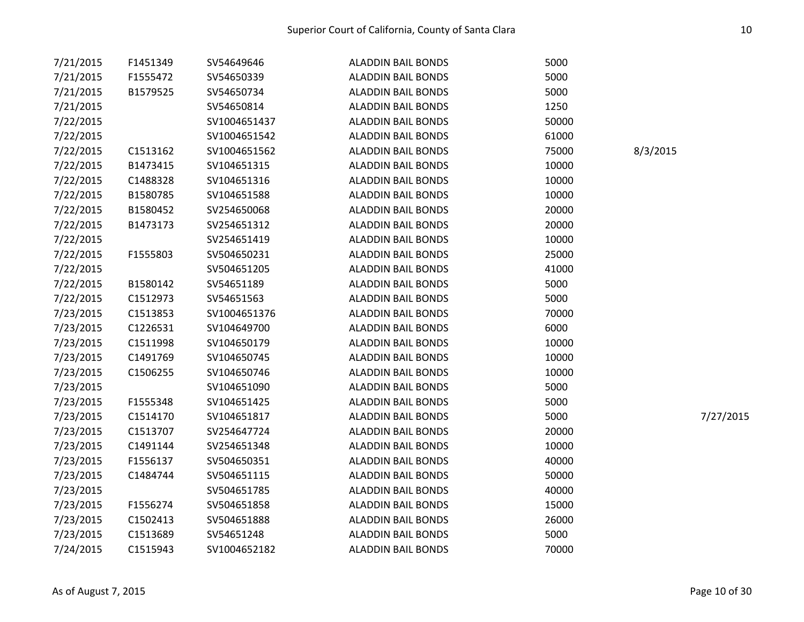| 7/21/2015 | F1451349 | SV54649646   | <b>ALADDIN BAIL BONDS</b> | 5000  |           |
|-----------|----------|--------------|---------------------------|-------|-----------|
| 7/21/2015 | F1555472 | SV54650339   | <b>ALADDIN BAIL BONDS</b> | 5000  |           |
| 7/21/2015 | B1579525 | SV54650734   | <b>ALADDIN BAIL BONDS</b> | 5000  |           |
| 7/21/2015 |          | SV54650814   | <b>ALADDIN BAIL BONDS</b> | 1250  |           |
| 7/22/2015 |          | SV1004651437 | <b>ALADDIN BAIL BONDS</b> | 50000 |           |
| 7/22/2015 |          | SV1004651542 | <b>ALADDIN BAIL BONDS</b> | 61000 |           |
| 7/22/2015 | C1513162 | SV1004651562 | <b>ALADDIN BAIL BONDS</b> | 75000 | 8/3/2015  |
| 7/22/2015 | B1473415 | SV104651315  | <b>ALADDIN BAIL BONDS</b> | 10000 |           |
| 7/22/2015 | C1488328 | SV104651316  | <b>ALADDIN BAIL BONDS</b> | 10000 |           |
| 7/22/2015 | B1580785 | SV104651588  | <b>ALADDIN BAIL BONDS</b> | 10000 |           |
| 7/22/2015 | B1580452 | SV254650068  | <b>ALADDIN BAIL BONDS</b> | 20000 |           |
| 7/22/2015 | B1473173 | SV254651312  | <b>ALADDIN BAIL BONDS</b> | 20000 |           |
| 7/22/2015 |          | SV254651419  | <b>ALADDIN BAIL BONDS</b> | 10000 |           |
| 7/22/2015 | F1555803 | SV504650231  | <b>ALADDIN BAIL BONDS</b> | 25000 |           |
| 7/22/2015 |          | SV504651205  | <b>ALADDIN BAIL BONDS</b> | 41000 |           |
| 7/22/2015 | B1580142 | SV54651189   | <b>ALADDIN BAIL BONDS</b> | 5000  |           |
| 7/22/2015 | C1512973 | SV54651563   | <b>ALADDIN BAIL BONDS</b> | 5000  |           |
| 7/23/2015 | C1513853 | SV1004651376 | <b>ALADDIN BAIL BONDS</b> | 70000 |           |
| 7/23/2015 | C1226531 | SV104649700  | <b>ALADDIN BAIL BONDS</b> | 6000  |           |
| 7/23/2015 | C1511998 | SV104650179  | <b>ALADDIN BAIL BONDS</b> | 10000 |           |
| 7/23/2015 | C1491769 | SV104650745  | <b>ALADDIN BAIL BONDS</b> | 10000 |           |
| 7/23/2015 | C1506255 | SV104650746  | <b>ALADDIN BAIL BONDS</b> | 10000 |           |
| 7/23/2015 |          | SV104651090  | <b>ALADDIN BAIL BONDS</b> | 5000  |           |
| 7/23/2015 | F1555348 | SV104651425  | <b>ALADDIN BAIL BONDS</b> | 5000  |           |
| 7/23/2015 | C1514170 | SV104651817  | <b>ALADDIN BAIL BONDS</b> | 5000  | 7/27/2015 |
| 7/23/2015 | C1513707 | SV254647724  | <b>ALADDIN BAIL BONDS</b> | 20000 |           |
| 7/23/2015 | C1491144 | SV254651348  | <b>ALADDIN BAIL BONDS</b> | 10000 |           |
| 7/23/2015 | F1556137 | SV504650351  | <b>ALADDIN BAIL BONDS</b> | 40000 |           |
| 7/23/2015 | C1484744 | SV504651115  | <b>ALADDIN BAIL BONDS</b> | 50000 |           |
| 7/23/2015 |          | SV504651785  | <b>ALADDIN BAIL BONDS</b> | 40000 |           |
| 7/23/2015 | F1556274 | SV504651858  | <b>ALADDIN BAIL BONDS</b> | 15000 |           |
| 7/23/2015 | C1502413 | SV504651888  | <b>ALADDIN BAIL BONDS</b> | 26000 |           |
| 7/23/2015 | C1513689 | SV54651248   | <b>ALADDIN BAIL BONDS</b> | 5000  |           |
| 7/24/2015 | C1515943 | SV1004652182 | <b>ALADDIN BAIL BONDS</b> | 70000 |           |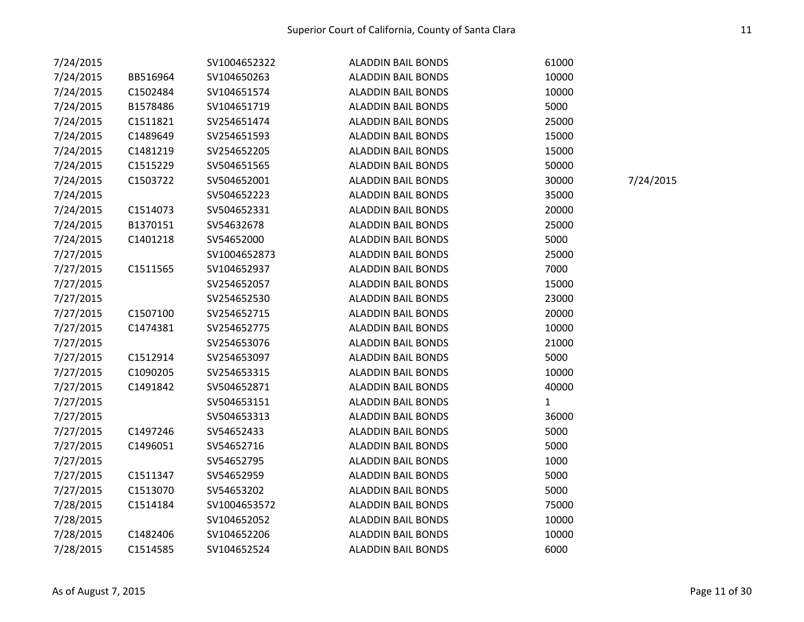| 7/24/2015 |          | SV1004652322 | <b>ALADDIN BAIL BONDS</b> | 61000        |           |
|-----------|----------|--------------|---------------------------|--------------|-----------|
| 7/24/2015 | BB516964 | SV104650263  | <b>ALADDIN BAIL BONDS</b> | 10000        |           |
| 7/24/2015 | C1502484 | SV104651574  | <b>ALADDIN BAIL BONDS</b> | 10000        |           |
| 7/24/2015 | B1578486 | SV104651719  | <b>ALADDIN BAIL BONDS</b> | 5000         |           |
| 7/24/2015 | C1511821 | SV254651474  | <b>ALADDIN BAIL BONDS</b> | 25000        |           |
| 7/24/2015 | C1489649 | SV254651593  | <b>ALADDIN BAIL BONDS</b> | 15000        |           |
| 7/24/2015 | C1481219 | SV254652205  | <b>ALADDIN BAIL BONDS</b> | 15000        |           |
| 7/24/2015 | C1515229 | SV504651565  | <b>ALADDIN BAIL BONDS</b> | 50000        |           |
| 7/24/2015 | C1503722 | SV504652001  | <b>ALADDIN BAIL BONDS</b> | 30000        | 7/24/2015 |
| 7/24/2015 |          | SV504652223  | <b>ALADDIN BAIL BONDS</b> | 35000        |           |
| 7/24/2015 | C1514073 | SV504652331  | <b>ALADDIN BAIL BONDS</b> | 20000        |           |
| 7/24/2015 | B1370151 | SV54632678   | <b>ALADDIN BAIL BONDS</b> | 25000        |           |
| 7/24/2015 | C1401218 | SV54652000   | <b>ALADDIN BAIL BONDS</b> | 5000         |           |
| 7/27/2015 |          | SV1004652873 | <b>ALADDIN BAIL BONDS</b> | 25000        |           |
| 7/27/2015 | C1511565 | SV104652937  | <b>ALADDIN BAIL BONDS</b> | 7000         |           |
| 7/27/2015 |          | SV254652057  | <b>ALADDIN BAIL BONDS</b> | 15000        |           |
| 7/27/2015 |          | SV254652530  | <b>ALADDIN BAIL BONDS</b> | 23000        |           |
| 7/27/2015 | C1507100 | SV254652715  | <b>ALADDIN BAIL BONDS</b> | 20000        |           |
| 7/27/2015 | C1474381 | SV254652775  | <b>ALADDIN BAIL BONDS</b> | 10000        |           |
| 7/27/2015 |          | SV254653076  | <b>ALADDIN BAIL BONDS</b> | 21000        |           |
| 7/27/2015 | C1512914 | SV254653097  | <b>ALADDIN BAIL BONDS</b> | 5000         |           |
| 7/27/2015 | C1090205 | SV254653315  | <b>ALADDIN BAIL BONDS</b> | 10000        |           |
| 7/27/2015 | C1491842 | SV504652871  | <b>ALADDIN BAIL BONDS</b> | 40000        |           |
| 7/27/2015 |          | SV504653151  | <b>ALADDIN BAIL BONDS</b> | $\mathbf{1}$ |           |
| 7/27/2015 |          | SV504653313  | <b>ALADDIN BAIL BONDS</b> | 36000        |           |
| 7/27/2015 | C1497246 | SV54652433   | <b>ALADDIN BAIL BONDS</b> | 5000         |           |
| 7/27/2015 | C1496051 | SV54652716   | <b>ALADDIN BAIL BONDS</b> | 5000         |           |
| 7/27/2015 |          | SV54652795   | <b>ALADDIN BAIL BONDS</b> | 1000         |           |
| 7/27/2015 | C1511347 | SV54652959   | <b>ALADDIN BAIL BONDS</b> | 5000         |           |
| 7/27/2015 | C1513070 | SV54653202   | <b>ALADDIN BAIL BONDS</b> | 5000         |           |
| 7/28/2015 | C1514184 | SV1004653572 | <b>ALADDIN BAIL BONDS</b> | 75000        |           |
| 7/28/2015 |          | SV104652052  | <b>ALADDIN BAIL BONDS</b> | 10000        |           |
| 7/28/2015 | C1482406 | SV104652206  | <b>ALADDIN BAIL BONDS</b> | 10000        |           |
| 7/28/2015 | C1514585 | SV104652524  | <b>ALADDIN BAIL BONDS</b> | 6000         |           |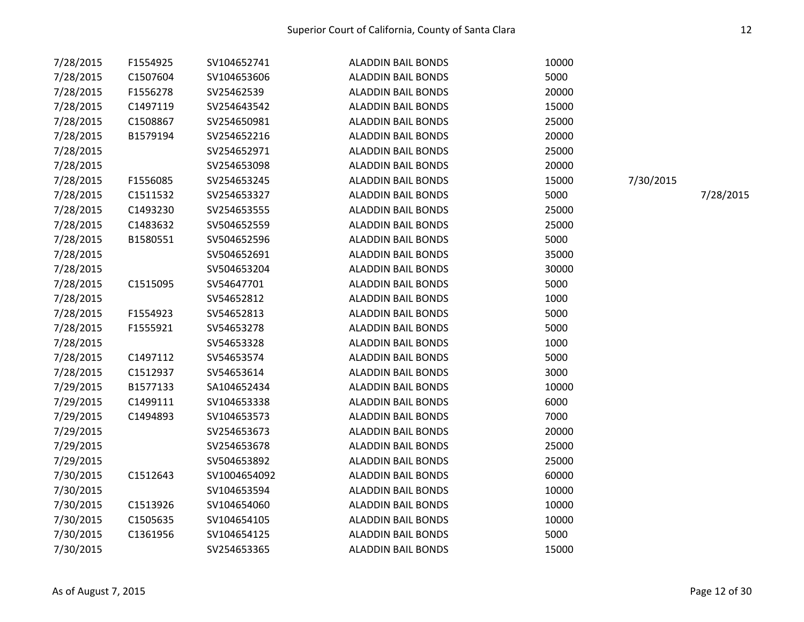| 7/28/2015 | F1554925 | SV104652741  | <b>ALADDIN BAIL BONDS</b> | 10000 |           |           |
|-----------|----------|--------------|---------------------------|-------|-----------|-----------|
| 7/28/2015 | C1507604 | SV104653606  | <b>ALADDIN BAIL BONDS</b> | 5000  |           |           |
| 7/28/2015 | F1556278 | SV25462539   | <b>ALADDIN BAIL BONDS</b> | 20000 |           |           |
| 7/28/2015 | C1497119 | SV254643542  | <b>ALADDIN BAIL BONDS</b> | 15000 |           |           |
| 7/28/2015 | C1508867 | SV254650981  | <b>ALADDIN BAIL BONDS</b> | 25000 |           |           |
| 7/28/2015 | B1579194 | SV254652216  | <b>ALADDIN BAIL BONDS</b> | 20000 |           |           |
| 7/28/2015 |          | SV254652971  | <b>ALADDIN BAIL BONDS</b> | 25000 |           |           |
| 7/28/2015 |          | SV254653098  | <b>ALADDIN BAIL BONDS</b> | 20000 |           |           |
| 7/28/2015 | F1556085 | SV254653245  | <b>ALADDIN BAIL BONDS</b> | 15000 | 7/30/2015 |           |
| 7/28/2015 | C1511532 | SV254653327  | <b>ALADDIN BAIL BONDS</b> | 5000  |           | 7/28/2015 |
| 7/28/2015 | C1493230 | SV254653555  | <b>ALADDIN BAIL BONDS</b> | 25000 |           |           |
| 7/28/2015 | C1483632 | SV504652559  | <b>ALADDIN BAIL BONDS</b> | 25000 |           |           |
| 7/28/2015 | B1580551 | SV504652596  | <b>ALADDIN BAIL BONDS</b> | 5000  |           |           |
| 7/28/2015 |          | SV504652691  | <b>ALADDIN BAIL BONDS</b> | 35000 |           |           |
| 7/28/2015 |          | SV504653204  | <b>ALADDIN BAIL BONDS</b> | 30000 |           |           |
| 7/28/2015 | C1515095 | SV54647701   | <b>ALADDIN BAIL BONDS</b> | 5000  |           |           |
| 7/28/2015 |          | SV54652812   | <b>ALADDIN BAIL BONDS</b> | 1000  |           |           |
| 7/28/2015 | F1554923 | SV54652813   | <b>ALADDIN BAIL BONDS</b> | 5000  |           |           |
| 7/28/2015 | F1555921 | SV54653278   | <b>ALADDIN BAIL BONDS</b> | 5000  |           |           |
| 7/28/2015 |          | SV54653328   | <b>ALADDIN BAIL BONDS</b> | 1000  |           |           |
| 7/28/2015 | C1497112 | SV54653574   | <b>ALADDIN BAIL BONDS</b> | 5000  |           |           |
| 7/28/2015 | C1512937 | SV54653614   | <b>ALADDIN BAIL BONDS</b> | 3000  |           |           |
| 7/29/2015 | B1577133 | SA104652434  | <b>ALADDIN BAIL BONDS</b> | 10000 |           |           |
| 7/29/2015 | C1499111 | SV104653338  | <b>ALADDIN BAIL BONDS</b> | 6000  |           |           |
| 7/29/2015 | C1494893 | SV104653573  | <b>ALADDIN BAIL BONDS</b> | 7000  |           |           |
| 7/29/2015 |          | SV254653673  | <b>ALADDIN BAIL BONDS</b> | 20000 |           |           |
| 7/29/2015 |          | SV254653678  | <b>ALADDIN BAIL BONDS</b> | 25000 |           |           |
| 7/29/2015 |          | SV504653892  | <b>ALADDIN BAIL BONDS</b> | 25000 |           |           |
| 7/30/2015 | C1512643 | SV1004654092 | <b>ALADDIN BAIL BONDS</b> | 60000 |           |           |
| 7/30/2015 |          | SV104653594  | <b>ALADDIN BAIL BONDS</b> | 10000 |           |           |
| 7/30/2015 | C1513926 | SV104654060  | <b>ALADDIN BAIL BONDS</b> | 10000 |           |           |
| 7/30/2015 | C1505635 | SV104654105  | <b>ALADDIN BAIL BONDS</b> | 10000 |           |           |
| 7/30/2015 | C1361956 | SV104654125  | <b>ALADDIN BAIL BONDS</b> | 5000  |           |           |
| 7/30/2015 |          | SV254653365  | <b>ALADDIN BAIL BONDS</b> | 15000 |           |           |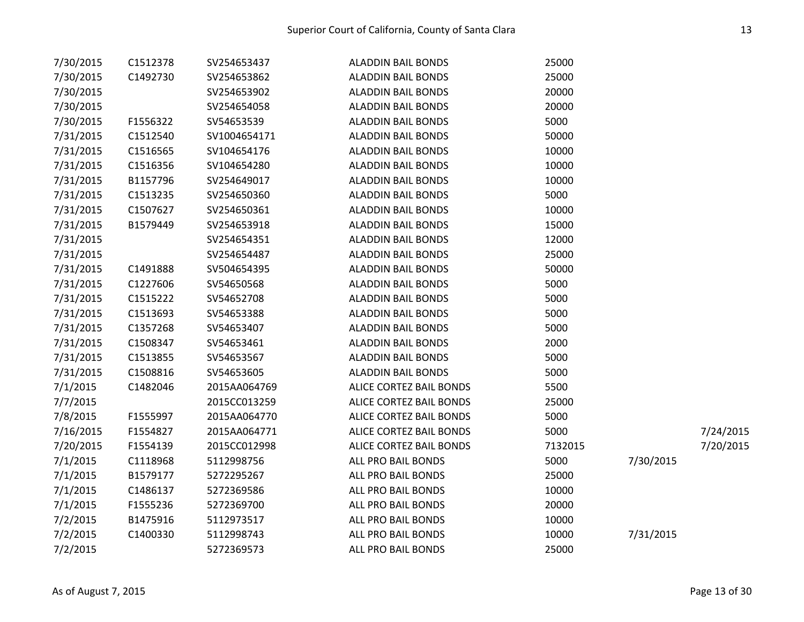| 7/30/2015 | C1512378 | SV254653437  | <b>ALADDIN BAIL BONDS</b> | 25000   |           |           |
|-----------|----------|--------------|---------------------------|---------|-----------|-----------|
| 7/30/2015 | C1492730 | SV254653862  | <b>ALADDIN BAIL BONDS</b> | 25000   |           |           |
| 7/30/2015 |          | SV254653902  | <b>ALADDIN BAIL BONDS</b> | 20000   |           |           |
| 7/30/2015 |          | SV254654058  | <b>ALADDIN BAIL BONDS</b> | 20000   |           |           |
| 7/30/2015 | F1556322 | SV54653539   | <b>ALADDIN BAIL BONDS</b> | 5000    |           |           |
| 7/31/2015 | C1512540 | SV1004654171 | <b>ALADDIN BAIL BONDS</b> | 50000   |           |           |
| 7/31/2015 | C1516565 | SV104654176  | <b>ALADDIN BAIL BONDS</b> | 10000   |           |           |
| 7/31/2015 | C1516356 | SV104654280  | <b>ALADDIN BAIL BONDS</b> | 10000   |           |           |
| 7/31/2015 | B1157796 | SV254649017  | <b>ALADDIN BAIL BONDS</b> | 10000   |           |           |
| 7/31/2015 | C1513235 | SV254650360  | <b>ALADDIN BAIL BONDS</b> | 5000    |           |           |
| 7/31/2015 | C1507627 | SV254650361  | <b>ALADDIN BAIL BONDS</b> | 10000   |           |           |
| 7/31/2015 | B1579449 | SV254653918  | <b>ALADDIN BAIL BONDS</b> | 15000   |           |           |
| 7/31/2015 |          | SV254654351  | <b>ALADDIN BAIL BONDS</b> | 12000   |           |           |
| 7/31/2015 |          | SV254654487  | <b>ALADDIN BAIL BONDS</b> | 25000   |           |           |
| 7/31/2015 | C1491888 | SV504654395  | <b>ALADDIN BAIL BONDS</b> | 50000   |           |           |
| 7/31/2015 | C1227606 | SV54650568   | <b>ALADDIN BAIL BONDS</b> | 5000    |           |           |
| 7/31/2015 | C1515222 | SV54652708   | <b>ALADDIN BAIL BONDS</b> | 5000    |           |           |
| 7/31/2015 | C1513693 | SV54653388   | <b>ALADDIN BAIL BONDS</b> | 5000    |           |           |
| 7/31/2015 | C1357268 | SV54653407   | <b>ALADDIN BAIL BONDS</b> | 5000    |           |           |
| 7/31/2015 | C1508347 | SV54653461   | <b>ALADDIN BAIL BONDS</b> | 2000    |           |           |
| 7/31/2015 | C1513855 | SV54653567   | <b>ALADDIN BAIL BONDS</b> | 5000    |           |           |
| 7/31/2015 | C1508816 | SV54653605   | <b>ALADDIN BAIL BONDS</b> | 5000    |           |           |
| 7/1/2015  | C1482046 | 2015AA064769 | ALICE CORTEZ BAIL BONDS   | 5500    |           |           |
| 7/7/2015  |          | 2015CC013259 | ALICE CORTEZ BAIL BONDS   | 25000   |           |           |
| 7/8/2015  | F1555997 | 2015AA064770 | ALICE CORTEZ BAIL BONDS   | 5000    |           |           |
| 7/16/2015 | F1554827 | 2015AA064771 | ALICE CORTEZ BAIL BONDS   | 5000    |           | 7/24/2015 |
| 7/20/2015 | F1554139 | 2015CC012998 | ALICE CORTEZ BAIL BONDS   | 7132015 |           | 7/20/2015 |
| 7/1/2015  | C1118968 | 5112998756   | ALL PRO BAIL BONDS        | 5000    | 7/30/2015 |           |
| 7/1/2015  | B1579177 | 5272295267   | ALL PRO BAIL BONDS        | 25000   |           |           |
| 7/1/2015  | C1486137 | 5272369586   | ALL PRO BAIL BONDS        | 10000   |           |           |
| 7/1/2015  | F1555236 | 5272369700   | ALL PRO BAIL BONDS        | 20000   |           |           |
| 7/2/2015  | B1475916 | 5112973517   | ALL PRO BAIL BONDS        | 10000   |           |           |
| 7/2/2015  | C1400330 | 5112998743   | ALL PRO BAIL BONDS        | 10000   | 7/31/2015 |           |
| 7/2/2015  |          | 5272369573   | ALL PRO BAIL BONDS        | 25000   |           |           |
|           |          |              |                           |         |           |           |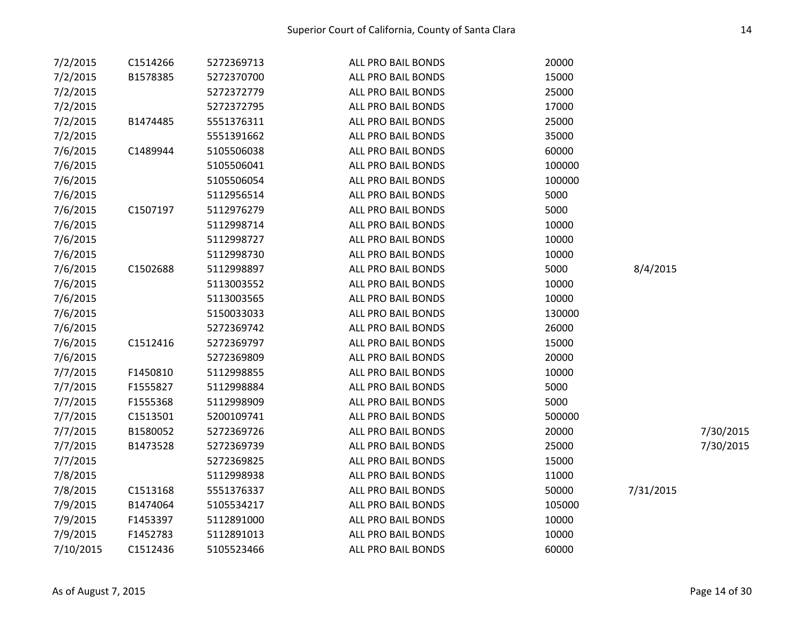| 7/2/2015  | C1514266 | 5272369713 | ALL PRO BAIL BONDS | 20000  |           |           |
|-----------|----------|------------|--------------------|--------|-----------|-----------|
| 7/2/2015  | B1578385 | 5272370700 | ALL PRO BAIL BONDS | 15000  |           |           |
| 7/2/2015  |          | 5272372779 | ALL PRO BAIL BONDS | 25000  |           |           |
| 7/2/2015  |          | 5272372795 | ALL PRO BAIL BONDS | 17000  |           |           |
| 7/2/2015  | B1474485 | 5551376311 | ALL PRO BAIL BONDS | 25000  |           |           |
| 7/2/2015  |          | 5551391662 | ALL PRO BAIL BONDS | 35000  |           |           |
| 7/6/2015  | C1489944 | 5105506038 | ALL PRO BAIL BONDS | 60000  |           |           |
| 7/6/2015  |          | 5105506041 | ALL PRO BAIL BONDS | 100000 |           |           |
| 7/6/2015  |          | 5105506054 | ALL PRO BAIL BONDS | 100000 |           |           |
| 7/6/2015  |          | 5112956514 | ALL PRO BAIL BONDS | 5000   |           |           |
| 7/6/2015  | C1507197 | 5112976279 | ALL PRO BAIL BONDS | 5000   |           |           |
| 7/6/2015  |          | 5112998714 | ALL PRO BAIL BONDS | 10000  |           |           |
| 7/6/2015  |          | 5112998727 | ALL PRO BAIL BONDS | 10000  |           |           |
| 7/6/2015  |          | 5112998730 | ALL PRO BAIL BONDS | 10000  |           |           |
| 7/6/2015  | C1502688 | 5112998897 | ALL PRO BAIL BONDS | 5000   | 8/4/2015  |           |
| 7/6/2015  |          | 5113003552 | ALL PRO BAIL BONDS | 10000  |           |           |
| 7/6/2015  |          | 5113003565 | ALL PRO BAIL BONDS | 10000  |           |           |
| 7/6/2015  |          | 5150033033 | ALL PRO BAIL BONDS | 130000 |           |           |
| 7/6/2015  |          | 5272369742 | ALL PRO BAIL BONDS | 26000  |           |           |
| 7/6/2015  | C1512416 | 5272369797 | ALL PRO BAIL BONDS | 15000  |           |           |
| 7/6/2015  |          | 5272369809 | ALL PRO BAIL BONDS | 20000  |           |           |
| 7/7/2015  | F1450810 | 5112998855 | ALL PRO BAIL BONDS | 10000  |           |           |
| 7/7/2015  | F1555827 | 5112998884 | ALL PRO BAIL BONDS | 5000   |           |           |
| 7/7/2015  | F1555368 | 5112998909 | ALL PRO BAIL BONDS | 5000   |           |           |
| 7/7/2015  | C1513501 | 5200109741 | ALL PRO BAIL BONDS | 500000 |           |           |
| 7/7/2015  | B1580052 | 5272369726 | ALL PRO BAIL BONDS | 20000  |           | 7/30/2015 |
| 7/7/2015  | B1473528 | 5272369739 | ALL PRO BAIL BONDS | 25000  |           | 7/30/2015 |
| 7/7/2015  |          | 5272369825 | ALL PRO BAIL BONDS | 15000  |           |           |
| 7/8/2015  |          | 5112998938 | ALL PRO BAIL BONDS | 11000  |           |           |
| 7/8/2015  | C1513168 | 5551376337 | ALL PRO BAIL BONDS | 50000  | 7/31/2015 |           |
| 7/9/2015  | B1474064 | 5105534217 | ALL PRO BAIL BONDS | 105000 |           |           |
| 7/9/2015  | F1453397 | 5112891000 | ALL PRO BAIL BONDS | 10000  |           |           |
| 7/9/2015  | F1452783 | 5112891013 | ALL PRO BAIL BONDS | 10000  |           |           |
| 7/10/2015 | C1512436 | 5105523466 | ALL PRO BAIL BONDS | 60000  |           |           |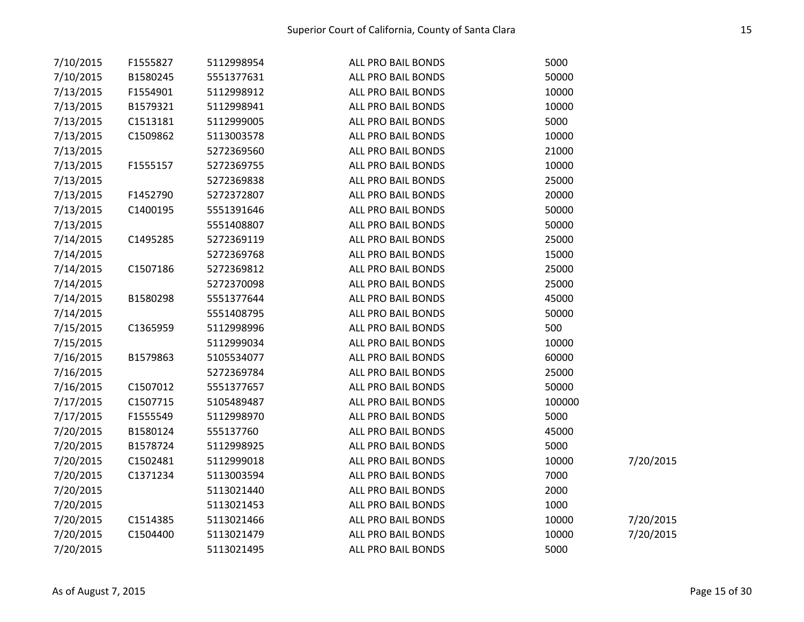| 7/10/2015 | F1555827 | 5112998954 | ALL PRO BAIL BONDS | 5000   |           |
|-----------|----------|------------|--------------------|--------|-----------|
| 7/10/2015 | B1580245 | 5551377631 | ALL PRO BAIL BONDS | 50000  |           |
| 7/13/2015 | F1554901 | 5112998912 | ALL PRO BAIL BONDS | 10000  |           |
| 7/13/2015 | B1579321 | 5112998941 | ALL PRO BAIL BONDS | 10000  |           |
| 7/13/2015 | C1513181 | 5112999005 | ALL PRO BAIL BONDS | 5000   |           |
| 7/13/2015 | C1509862 | 5113003578 | ALL PRO BAIL BONDS | 10000  |           |
| 7/13/2015 |          | 5272369560 | ALL PRO BAIL BONDS | 21000  |           |
| 7/13/2015 | F1555157 | 5272369755 | ALL PRO BAIL BONDS | 10000  |           |
| 7/13/2015 |          | 5272369838 | ALL PRO BAIL BONDS | 25000  |           |
| 7/13/2015 | F1452790 | 5272372807 | ALL PRO BAIL BONDS | 20000  |           |
| 7/13/2015 | C1400195 | 5551391646 | ALL PRO BAIL BONDS | 50000  |           |
| 7/13/2015 |          | 5551408807 | ALL PRO BAIL BONDS | 50000  |           |
| 7/14/2015 | C1495285 | 5272369119 | ALL PRO BAIL BONDS | 25000  |           |
| 7/14/2015 |          | 5272369768 | ALL PRO BAIL BONDS | 15000  |           |
| 7/14/2015 | C1507186 | 5272369812 | ALL PRO BAIL BONDS | 25000  |           |
| 7/14/2015 |          | 5272370098 | ALL PRO BAIL BONDS | 25000  |           |
| 7/14/2015 | B1580298 | 5551377644 | ALL PRO BAIL BONDS | 45000  |           |
| 7/14/2015 |          | 5551408795 | ALL PRO BAIL BONDS | 50000  |           |
| 7/15/2015 | C1365959 | 5112998996 | ALL PRO BAIL BONDS | 500    |           |
| 7/15/2015 |          | 5112999034 | ALL PRO BAIL BONDS | 10000  |           |
| 7/16/2015 | B1579863 | 5105534077 | ALL PRO BAIL BONDS | 60000  |           |
| 7/16/2015 |          | 5272369784 | ALL PRO BAIL BONDS | 25000  |           |
| 7/16/2015 | C1507012 | 5551377657 | ALL PRO BAIL BONDS | 50000  |           |
| 7/17/2015 | C1507715 | 5105489487 | ALL PRO BAIL BONDS | 100000 |           |
| 7/17/2015 | F1555549 | 5112998970 | ALL PRO BAIL BONDS | 5000   |           |
| 7/20/2015 | B1580124 | 555137760  | ALL PRO BAIL BONDS | 45000  |           |
| 7/20/2015 | B1578724 | 5112998925 | ALL PRO BAIL BONDS | 5000   |           |
| 7/20/2015 | C1502481 | 5112999018 | ALL PRO BAIL BONDS | 10000  | 7/20/2015 |
| 7/20/2015 | C1371234 | 5113003594 | ALL PRO BAIL BONDS | 7000   |           |
| 7/20/2015 |          | 5113021440 | ALL PRO BAIL BONDS | 2000   |           |
| 7/20/2015 |          | 5113021453 | ALL PRO BAIL BONDS | 1000   |           |
| 7/20/2015 | C1514385 | 5113021466 | ALL PRO BAIL BONDS | 10000  | 7/20/2015 |
| 7/20/2015 | C1504400 | 5113021479 | ALL PRO BAIL BONDS | 10000  | 7/20/2015 |
| 7/20/2015 |          | 5113021495 | ALL PRO BAIL BONDS | 5000   |           |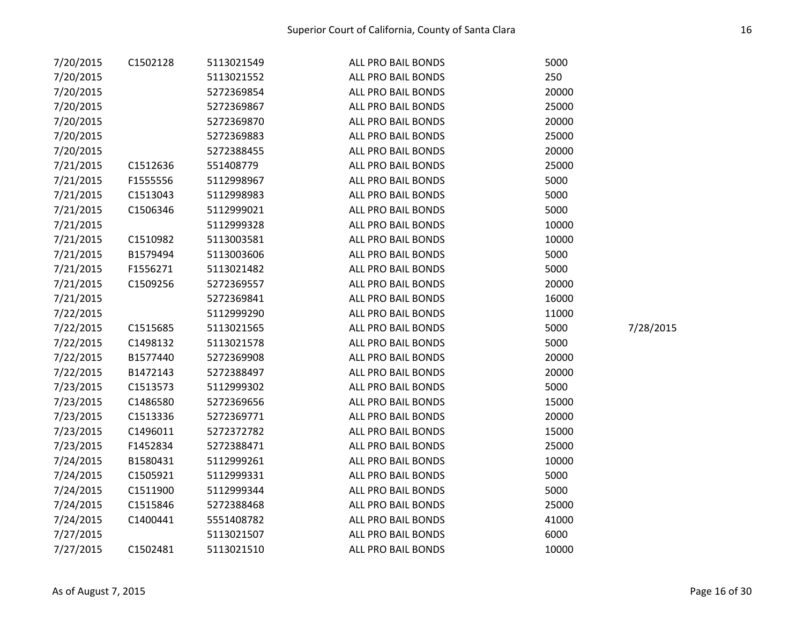| 7/20/2015 | C1502128 | 5113021549 | ALL PRO BAIL BONDS | 5000  |           |
|-----------|----------|------------|--------------------|-------|-----------|
| 7/20/2015 |          | 5113021552 | ALL PRO BAIL BONDS | 250   |           |
| 7/20/2015 |          | 5272369854 | ALL PRO BAIL BONDS | 20000 |           |
| 7/20/2015 |          | 5272369867 | ALL PRO BAIL BONDS | 25000 |           |
| 7/20/2015 |          | 5272369870 | ALL PRO BAIL BONDS | 20000 |           |
| 7/20/2015 |          | 5272369883 | ALL PRO BAIL BONDS | 25000 |           |
| 7/20/2015 |          | 5272388455 | ALL PRO BAIL BONDS | 20000 |           |
| 7/21/2015 | C1512636 | 551408779  | ALL PRO BAIL BONDS | 25000 |           |
| 7/21/2015 | F1555556 | 5112998967 | ALL PRO BAIL BONDS | 5000  |           |
| 7/21/2015 | C1513043 | 5112998983 | ALL PRO BAIL BONDS | 5000  |           |
| 7/21/2015 | C1506346 | 5112999021 | ALL PRO BAIL BONDS | 5000  |           |
| 7/21/2015 |          | 5112999328 | ALL PRO BAIL BONDS | 10000 |           |
| 7/21/2015 | C1510982 | 5113003581 | ALL PRO BAIL BONDS | 10000 |           |
| 7/21/2015 | B1579494 | 5113003606 | ALL PRO BAIL BONDS | 5000  |           |
| 7/21/2015 | F1556271 | 5113021482 | ALL PRO BAIL BONDS | 5000  |           |
| 7/21/2015 | C1509256 | 5272369557 | ALL PRO BAIL BONDS | 20000 |           |
| 7/21/2015 |          | 5272369841 | ALL PRO BAIL BONDS | 16000 |           |
| 7/22/2015 |          | 5112999290 | ALL PRO BAIL BONDS | 11000 |           |
| 7/22/2015 | C1515685 | 5113021565 | ALL PRO BAIL BONDS | 5000  | 7/28/2015 |
| 7/22/2015 | C1498132 | 5113021578 | ALL PRO BAIL BONDS | 5000  |           |
| 7/22/2015 | B1577440 | 5272369908 | ALL PRO BAIL BONDS | 20000 |           |
| 7/22/2015 | B1472143 | 5272388497 | ALL PRO BAIL BONDS | 20000 |           |
| 7/23/2015 | C1513573 | 5112999302 | ALL PRO BAIL BONDS | 5000  |           |
| 7/23/2015 | C1486580 | 5272369656 | ALL PRO BAIL BONDS | 15000 |           |
| 7/23/2015 | C1513336 | 5272369771 | ALL PRO BAIL BONDS | 20000 |           |
| 7/23/2015 | C1496011 | 5272372782 | ALL PRO BAIL BONDS | 15000 |           |
| 7/23/2015 | F1452834 | 5272388471 | ALL PRO BAIL BONDS | 25000 |           |
| 7/24/2015 | B1580431 | 5112999261 | ALL PRO BAIL BONDS | 10000 |           |
| 7/24/2015 | C1505921 | 5112999331 | ALL PRO BAIL BONDS | 5000  |           |
| 7/24/2015 | C1511900 | 5112999344 | ALL PRO BAIL BONDS | 5000  |           |
| 7/24/2015 | C1515846 | 5272388468 | ALL PRO BAIL BONDS | 25000 |           |
| 7/24/2015 | C1400441 | 5551408782 | ALL PRO BAIL BONDS | 41000 |           |
| 7/27/2015 |          | 5113021507 | ALL PRO BAIL BONDS | 6000  |           |
| 7/27/2015 | C1502481 | 5113021510 | ALL PRO BAIL BONDS | 10000 |           |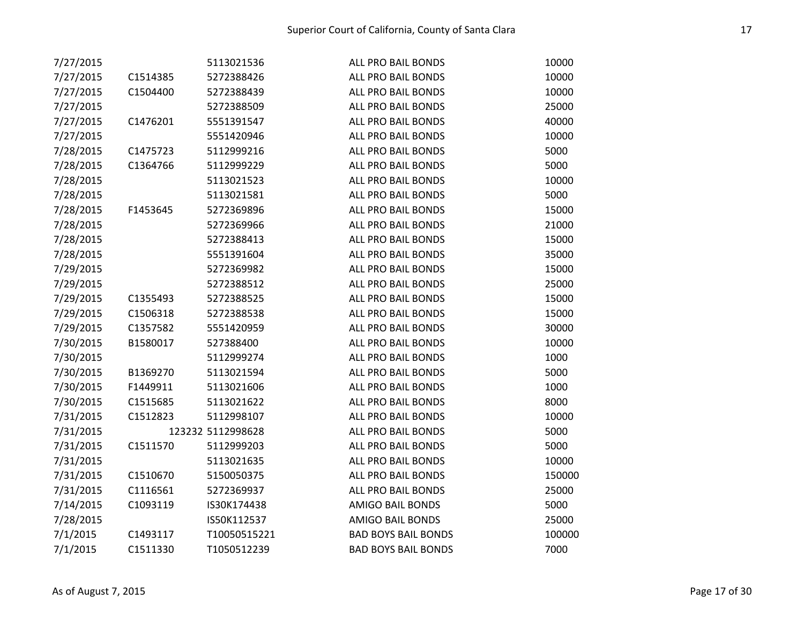| 7/27/2015 |          | 5113021536        | ALL PRO BAIL BONDS         | 10000  |
|-----------|----------|-------------------|----------------------------|--------|
| 7/27/2015 | C1514385 | 5272388426        | ALL PRO BAIL BONDS         | 10000  |
| 7/27/2015 | C1504400 | 5272388439        | ALL PRO BAIL BONDS         | 10000  |
| 7/27/2015 |          | 5272388509        | ALL PRO BAIL BONDS         | 25000  |
| 7/27/2015 | C1476201 | 5551391547        | ALL PRO BAIL BONDS         | 40000  |
| 7/27/2015 |          | 5551420946        | ALL PRO BAIL BONDS         | 10000  |
| 7/28/2015 | C1475723 | 5112999216        | ALL PRO BAIL BONDS         | 5000   |
| 7/28/2015 | C1364766 | 5112999229        | ALL PRO BAIL BONDS         | 5000   |
| 7/28/2015 |          | 5113021523        | ALL PRO BAIL BONDS         | 10000  |
| 7/28/2015 |          | 5113021581        | ALL PRO BAIL BONDS         | 5000   |
| 7/28/2015 | F1453645 | 5272369896        | ALL PRO BAIL BONDS         | 15000  |
| 7/28/2015 |          | 5272369966        | ALL PRO BAIL BONDS         | 21000  |
| 7/28/2015 |          | 5272388413        | ALL PRO BAIL BONDS         | 15000  |
| 7/28/2015 |          | 5551391604        | ALL PRO BAIL BONDS         | 35000  |
| 7/29/2015 |          | 5272369982        | ALL PRO BAIL BONDS         | 15000  |
| 7/29/2015 |          | 5272388512        | ALL PRO BAIL BONDS         | 25000  |
| 7/29/2015 | C1355493 | 5272388525        | ALL PRO BAIL BONDS         | 15000  |
| 7/29/2015 | C1506318 | 5272388538        | ALL PRO BAIL BONDS         | 15000  |
| 7/29/2015 | C1357582 | 5551420959        | ALL PRO BAIL BONDS         | 30000  |
| 7/30/2015 | B1580017 | 527388400         | ALL PRO BAIL BONDS         | 10000  |
| 7/30/2015 |          | 5112999274        | ALL PRO BAIL BONDS         | 1000   |
| 7/30/2015 | B1369270 | 5113021594        | ALL PRO BAIL BONDS         | 5000   |
| 7/30/2015 | F1449911 | 5113021606        | ALL PRO BAIL BONDS         | 1000   |
| 7/30/2015 | C1515685 | 5113021622        | ALL PRO BAIL BONDS         | 8000   |
| 7/31/2015 | C1512823 | 5112998107        | ALL PRO BAIL BONDS         | 10000  |
| 7/31/2015 |          | 123232 5112998628 | ALL PRO BAIL BONDS         | 5000   |
| 7/31/2015 | C1511570 | 5112999203        | ALL PRO BAIL BONDS         | 5000   |
| 7/31/2015 |          | 5113021635        | ALL PRO BAIL BONDS         | 10000  |
| 7/31/2015 | C1510670 | 5150050375        | ALL PRO BAIL BONDS         | 150000 |
| 7/31/2015 | C1116561 | 5272369937        | ALL PRO BAIL BONDS         | 25000  |
| 7/14/2015 | C1093119 | IS30K174438       | <b>AMIGO BAIL BONDS</b>    | 5000   |
| 7/28/2015 |          | IS50K112537       | <b>AMIGO BAIL BONDS</b>    | 25000  |
| 7/1/2015  | C1493117 | T10050515221      | <b>BAD BOYS BAIL BONDS</b> | 100000 |
| 7/1/2015  | C1511330 | T1050512239       | <b>BAD BOYS BAIL BONDS</b> | 7000   |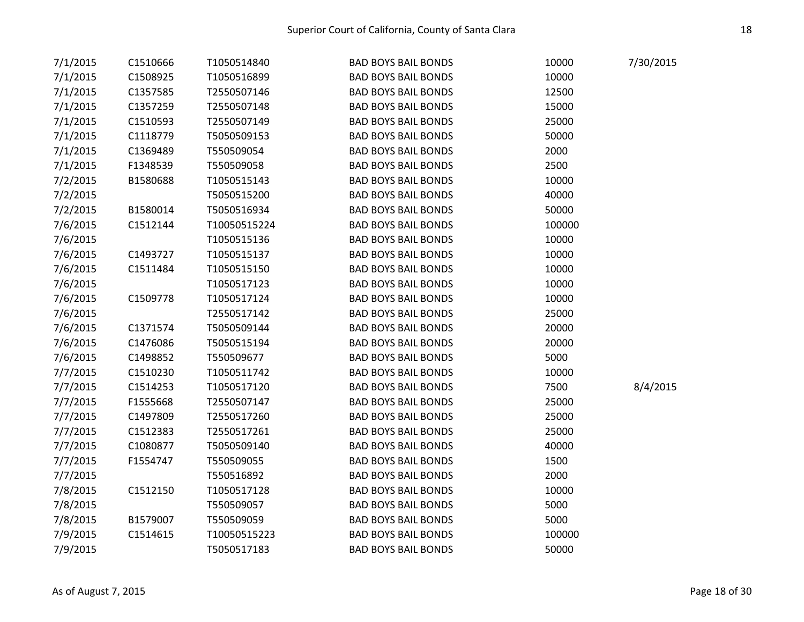| 7/1/2015 | C1510666 | T1050514840  | <b>BAD BOYS BAIL BONDS</b> | 10000  | 7/30/2015 |
|----------|----------|--------------|----------------------------|--------|-----------|
| 7/1/2015 | C1508925 | T1050516899  | <b>BAD BOYS BAIL BONDS</b> | 10000  |           |
| 7/1/2015 | C1357585 | T2550507146  | <b>BAD BOYS BAIL BONDS</b> | 12500  |           |
| 7/1/2015 | C1357259 | T2550507148  | <b>BAD BOYS BAIL BONDS</b> | 15000  |           |
| 7/1/2015 | C1510593 | T2550507149  | <b>BAD BOYS BAIL BONDS</b> | 25000  |           |
| 7/1/2015 | C1118779 | T5050509153  | <b>BAD BOYS BAIL BONDS</b> | 50000  |           |
| 7/1/2015 | C1369489 | T550509054   | <b>BAD BOYS BAIL BONDS</b> | 2000   |           |
| 7/1/2015 | F1348539 | T550509058   | <b>BAD BOYS BAIL BONDS</b> | 2500   |           |
| 7/2/2015 | B1580688 | T1050515143  | <b>BAD BOYS BAIL BONDS</b> | 10000  |           |
| 7/2/2015 |          | T5050515200  | <b>BAD BOYS BAIL BONDS</b> | 40000  |           |
| 7/2/2015 | B1580014 | T5050516934  | <b>BAD BOYS BAIL BONDS</b> | 50000  |           |
| 7/6/2015 | C1512144 | T10050515224 | <b>BAD BOYS BAIL BONDS</b> | 100000 |           |
| 7/6/2015 |          | T1050515136  | <b>BAD BOYS BAIL BONDS</b> | 10000  |           |
| 7/6/2015 | C1493727 | T1050515137  | <b>BAD BOYS BAIL BONDS</b> | 10000  |           |
| 7/6/2015 | C1511484 | T1050515150  | <b>BAD BOYS BAIL BONDS</b> | 10000  |           |
| 7/6/2015 |          | T1050517123  | <b>BAD BOYS BAIL BONDS</b> | 10000  |           |
| 7/6/2015 | C1509778 | T1050517124  | <b>BAD BOYS BAIL BONDS</b> | 10000  |           |
| 7/6/2015 |          | T2550517142  | <b>BAD BOYS BAIL BONDS</b> | 25000  |           |
| 7/6/2015 | C1371574 | T5050509144  | <b>BAD BOYS BAIL BONDS</b> | 20000  |           |
| 7/6/2015 | C1476086 | T5050515194  | <b>BAD BOYS BAIL BONDS</b> | 20000  |           |
| 7/6/2015 | C1498852 | T550509677   | <b>BAD BOYS BAIL BONDS</b> | 5000   |           |
| 7/7/2015 | C1510230 | T1050511742  | <b>BAD BOYS BAIL BONDS</b> | 10000  |           |
| 7/7/2015 | C1514253 | T1050517120  | <b>BAD BOYS BAIL BONDS</b> | 7500   | 8/4/2015  |
| 7/7/2015 | F1555668 | T2550507147  | <b>BAD BOYS BAIL BONDS</b> | 25000  |           |
| 7/7/2015 | C1497809 | T2550517260  | <b>BAD BOYS BAIL BONDS</b> | 25000  |           |
| 7/7/2015 | C1512383 | T2550517261  | <b>BAD BOYS BAIL BONDS</b> | 25000  |           |
| 7/7/2015 | C1080877 | T5050509140  | <b>BAD BOYS BAIL BONDS</b> | 40000  |           |
| 7/7/2015 | F1554747 | T550509055   | <b>BAD BOYS BAIL BONDS</b> | 1500   |           |
| 7/7/2015 |          | T550516892   | <b>BAD BOYS BAIL BONDS</b> | 2000   |           |
| 7/8/2015 | C1512150 | T1050517128  | <b>BAD BOYS BAIL BONDS</b> | 10000  |           |
| 7/8/2015 |          | T550509057   | <b>BAD BOYS BAIL BONDS</b> | 5000   |           |
| 7/8/2015 | B1579007 | T550509059   | <b>BAD BOYS BAIL BONDS</b> | 5000   |           |
| 7/9/2015 | C1514615 | T10050515223 | <b>BAD BOYS BAIL BONDS</b> | 100000 |           |
| 7/9/2015 |          | T5050517183  | <b>BAD BOYS BAIL BONDS</b> | 50000  |           |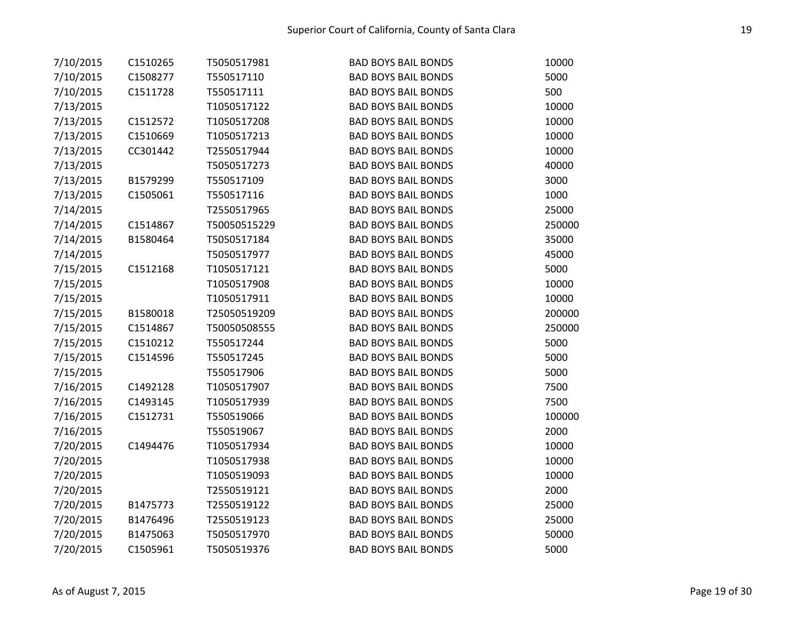| 7/10/2015 | C1510265 | T5050517981  | <b>BAD BOYS BAIL BONDS</b> | 10000  |
|-----------|----------|--------------|----------------------------|--------|
| 7/10/2015 | C1508277 | T550517110   | <b>BAD BOYS BAIL BONDS</b> | 5000   |
| 7/10/2015 | C1511728 | T550517111   | <b>BAD BOYS BAIL BONDS</b> | 500    |
| 7/13/2015 |          | T1050517122  | <b>BAD BOYS BAIL BONDS</b> | 10000  |
| 7/13/2015 | C1512572 | T1050517208  | <b>BAD BOYS BAIL BONDS</b> | 10000  |
| 7/13/2015 | C1510669 | T1050517213  | <b>BAD BOYS BAIL BONDS</b> | 10000  |
| 7/13/2015 | CC301442 | T2550517944  | <b>BAD BOYS BAIL BONDS</b> | 10000  |
| 7/13/2015 |          | T5050517273  | <b>BAD BOYS BAIL BONDS</b> | 40000  |
| 7/13/2015 | B1579299 | T550517109   | <b>BAD BOYS BAIL BONDS</b> | 3000   |
| 7/13/2015 | C1505061 | T550517116   | <b>BAD BOYS BAIL BONDS</b> | 1000   |
| 7/14/2015 |          | T2550517965  | <b>BAD BOYS BAIL BONDS</b> | 25000  |
| 7/14/2015 | C1514867 | T50050515229 | <b>BAD BOYS BAIL BONDS</b> | 250000 |
| 7/14/2015 | B1580464 | T5050517184  | <b>BAD BOYS BAIL BONDS</b> | 35000  |
| 7/14/2015 |          | T5050517977  | <b>BAD BOYS BAIL BONDS</b> | 45000  |
| 7/15/2015 | C1512168 | T1050517121  | <b>BAD BOYS BAIL BONDS</b> | 5000   |
| 7/15/2015 |          | T1050517908  | <b>BAD BOYS BAIL BONDS</b> | 10000  |
| 7/15/2015 |          | T1050517911  | <b>BAD BOYS BAIL BONDS</b> | 10000  |
| 7/15/2015 | B1580018 | T25050519209 | <b>BAD BOYS BAIL BONDS</b> | 200000 |
| 7/15/2015 | C1514867 | T50050508555 | <b>BAD BOYS BAIL BONDS</b> | 250000 |
| 7/15/2015 | C1510212 | T550517244   | <b>BAD BOYS BAIL BONDS</b> | 5000   |
| 7/15/2015 | C1514596 | T550517245   | <b>BAD BOYS BAIL BONDS</b> | 5000   |
| 7/15/2015 |          | T550517906   | <b>BAD BOYS BAIL BONDS</b> | 5000   |
| 7/16/2015 | C1492128 | T1050517907  | <b>BAD BOYS BAIL BONDS</b> | 7500   |
| 7/16/2015 | C1493145 | T1050517939  | <b>BAD BOYS BAIL BONDS</b> | 7500   |
| 7/16/2015 | C1512731 | T550519066   | <b>BAD BOYS BAIL BONDS</b> | 100000 |
| 7/16/2015 |          | T550519067   | <b>BAD BOYS BAIL BONDS</b> | 2000   |
| 7/20/2015 | C1494476 | T1050517934  | <b>BAD BOYS BAIL BONDS</b> | 10000  |
| 7/20/2015 |          | T1050517938  | <b>BAD BOYS BAIL BONDS</b> | 10000  |
| 7/20/2015 |          | T1050519093  | <b>BAD BOYS BAIL BONDS</b> | 10000  |
| 7/20/2015 |          | T2550519121  | <b>BAD BOYS BAIL BONDS</b> | 2000   |
| 7/20/2015 | B1475773 | T2550519122  | <b>BAD BOYS BAIL BONDS</b> | 25000  |
| 7/20/2015 | B1476496 | T2550519123  | <b>BAD BOYS BAIL BONDS</b> | 25000  |
| 7/20/2015 | B1475063 | T5050517970  | <b>BAD BOYS BAIL BONDS</b> | 50000  |
| 7/20/2015 | C1505961 | T5050519376  | <b>BAD BOYS BAIL BONDS</b> | 5000   |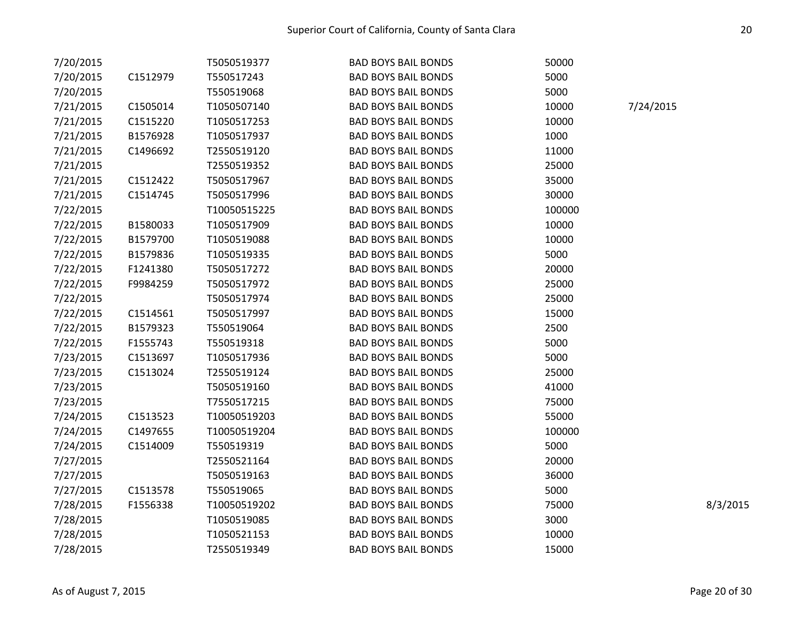| 7/20/2015 |          | T5050519377  | <b>BAD BOYS BAIL BONDS</b> | 50000  |           |          |
|-----------|----------|--------------|----------------------------|--------|-----------|----------|
| 7/20/2015 | C1512979 | T550517243   | <b>BAD BOYS BAIL BONDS</b> | 5000   |           |          |
| 7/20/2015 |          | T550519068   | <b>BAD BOYS BAIL BONDS</b> | 5000   |           |          |
| 7/21/2015 | C1505014 | T1050507140  | <b>BAD BOYS BAIL BONDS</b> | 10000  | 7/24/2015 |          |
| 7/21/2015 | C1515220 | T1050517253  | <b>BAD BOYS BAIL BONDS</b> | 10000  |           |          |
| 7/21/2015 | B1576928 | T1050517937  | <b>BAD BOYS BAIL BONDS</b> | 1000   |           |          |
| 7/21/2015 | C1496692 | T2550519120  | <b>BAD BOYS BAIL BONDS</b> | 11000  |           |          |
| 7/21/2015 |          | T2550519352  | <b>BAD BOYS BAIL BONDS</b> | 25000  |           |          |
| 7/21/2015 | C1512422 | T5050517967  | <b>BAD BOYS BAIL BONDS</b> | 35000  |           |          |
| 7/21/2015 | C1514745 | T5050517996  | <b>BAD BOYS BAIL BONDS</b> | 30000  |           |          |
| 7/22/2015 |          | T10050515225 | <b>BAD BOYS BAIL BONDS</b> | 100000 |           |          |
| 7/22/2015 | B1580033 | T1050517909  | <b>BAD BOYS BAIL BONDS</b> | 10000  |           |          |
| 7/22/2015 | B1579700 | T1050519088  | <b>BAD BOYS BAIL BONDS</b> | 10000  |           |          |
| 7/22/2015 | B1579836 | T1050519335  | <b>BAD BOYS BAIL BONDS</b> | 5000   |           |          |
| 7/22/2015 | F1241380 | T5050517272  | <b>BAD BOYS BAIL BONDS</b> | 20000  |           |          |
| 7/22/2015 | F9984259 | T5050517972  | <b>BAD BOYS BAIL BONDS</b> | 25000  |           |          |
| 7/22/2015 |          | T5050517974  | <b>BAD BOYS BAIL BONDS</b> | 25000  |           |          |
| 7/22/2015 | C1514561 | T5050517997  | <b>BAD BOYS BAIL BONDS</b> | 15000  |           |          |
| 7/22/2015 | B1579323 | T550519064   | <b>BAD BOYS BAIL BONDS</b> | 2500   |           |          |
| 7/22/2015 | F1555743 | T550519318   | <b>BAD BOYS BAIL BONDS</b> | 5000   |           |          |
| 7/23/2015 | C1513697 | T1050517936  | <b>BAD BOYS BAIL BONDS</b> | 5000   |           |          |
| 7/23/2015 | C1513024 | T2550519124  | <b>BAD BOYS BAIL BONDS</b> | 25000  |           |          |
| 7/23/2015 |          | T5050519160  | <b>BAD BOYS BAIL BONDS</b> | 41000  |           |          |
| 7/23/2015 |          | T7550517215  | <b>BAD BOYS BAIL BONDS</b> | 75000  |           |          |
| 7/24/2015 | C1513523 | T10050519203 | <b>BAD BOYS BAIL BONDS</b> | 55000  |           |          |
| 7/24/2015 | C1497655 | T10050519204 | <b>BAD BOYS BAIL BONDS</b> | 100000 |           |          |
| 7/24/2015 | C1514009 | T550519319   | <b>BAD BOYS BAIL BONDS</b> | 5000   |           |          |
| 7/27/2015 |          | T2550521164  | <b>BAD BOYS BAIL BONDS</b> | 20000  |           |          |
| 7/27/2015 |          | T5050519163  | <b>BAD BOYS BAIL BONDS</b> | 36000  |           |          |
| 7/27/2015 | C1513578 | T550519065   | <b>BAD BOYS BAIL BONDS</b> | 5000   |           |          |
| 7/28/2015 | F1556338 | T10050519202 | <b>BAD BOYS BAIL BONDS</b> | 75000  |           | 8/3/2015 |
| 7/28/2015 |          | T1050519085  | <b>BAD BOYS BAIL BONDS</b> | 3000   |           |          |
| 7/28/2015 |          | T1050521153  | <b>BAD BOYS BAIL BONDS</b> | 10000  |           |          |
| 7/28/2015 |          | T2550519349  | <b>BAD BOYS BAIL BONDS</b> | 15000  |           |          |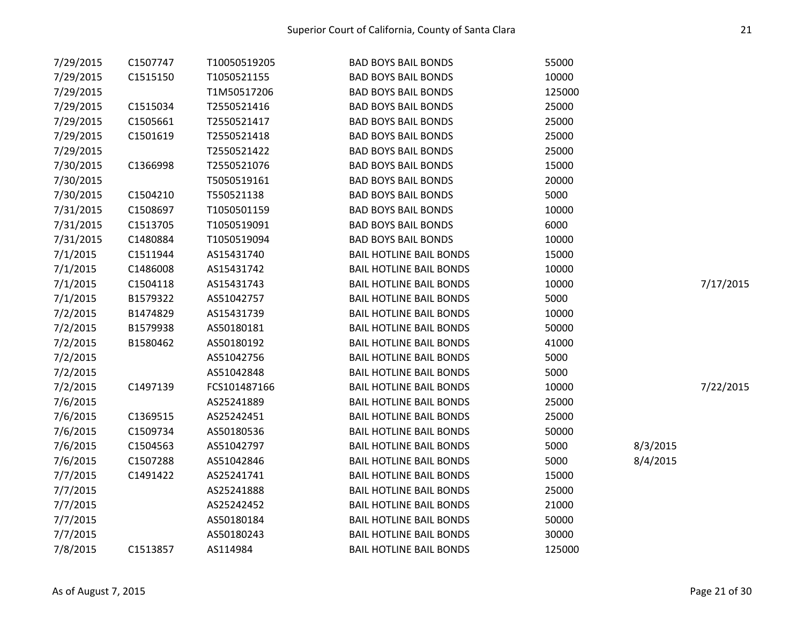| 7/29/2015 | C1507747 | T10050519205 | <b>BAD BOYS BAIL BONDS</b>     | 55000  |          |           |
|-----------|----------|--------------|--------------------------------|--------|----------|-----------|
| 7/29/2015 | C1515150 | T1050521155  | <b>BAD BOYS BAIL BONDS</b>     | 10000  |          |           |
| 7/29/2015 |          | T1M50517206  | <b>BAD BOYS BAIL BONDS</b>     | 125000 |          |           |
| 7/29/2015 | C1515034 | T2550521416  | <b>BAD BOYS BAIL BONDS</b>     | 25000  |          |           |
| 7/29/2015 | C1505661 | T2550521417  | <b>BAD BOYS BAIL BONDS</b>     | 25000  |          |           |
| 7/29/2015 | C1501619 | T2550521418  | <b>BAD BOYS BAIL BONDS</b>     | 25000  |          |           |
| 7/29/2015 |          | T2550521422  | <b>BAD BOYS BAIL BONDS</b>     | 25000  |          |           |
| 7/30/2015 | C1366998 | T2550521076  | <b>BAD BOYS BAIL BONDS</b>     | 15000  |          |           |
| 7/30/2015 |          | T5050519161  | <b>BAD BOYS BAIL BONDS</b>     | 20000  |          |           |
| 7/30/2015 | C1504210 | T550521138   | <b>BAD BOYS BAIL BONDS</b>     | 5000   |          |           |
| 7/31/2015 | C1508697 | T1050501159  | <b>BAD BOYS BAIL BONDS</b>     | 10000  |          |           |
| 7/31/2015 | C1513705 | T1050519091  | <b>BAD BOYS BAIL BONDS</b>     | 6000   |          |           |
| 7/31/2015 | C1480884 | T1050519094  | <b>BAD BOYS BAIL BONDS</b>     | 10000  |          |           |
| 7/1/2015  | C1511944 | AS15431740   | <b>BAIL HOTLINE BAIL BONDS</b> | 15000  |          |           |
| 7/1/2015  | C1486008 | AS15431742   | <b>BAIL HOTLINE BAIL BONDS</b> | 10000  |          |           |
| 7/1/2015  | C1504118 | AS15431743   | <b>BAIL HOTLINE BAIL BONDS</b> | 10000  |          | 7/17/2015 |
| 7/1/2015  | B1579322 | AS51042757   | <b>BAIL HOTLINE BAIL BONDS</b> | 5000   |          |           |
| 7/2/2015  | B1474829 | AS15431739   | <b>BAIL HOTLINE BAIL BONDS</b> | 10000  |          |           |
| 7/2/2015  | B1579938 | AS50180181   | <b>BAIL HOTLINE BAIL BONDS</b> | 50000  |          |           |
| 7/2/2015  | B1580462 | AS50180192   | <b>BAIL HOTLINE BAIL BONDS</b> | 41000  |          |           |
| 7/2/2015  |          | AS51042756   | <b>BAIL HOTLINE BAIL BONDS</b> | 5000   |          |           |
| 7/2/2015  |          | AS51042848   | <b>BAIL HOTLINE BAIL BONDS</b> | 5000   |          |           |
| 7/2/2015  | C1497139 | FCS101487166 | <b>BAIL HOTLINE BAIL BONDS</b> | 10000  |          | 7/22/2015 |
| 7/6/2015  |          | AS25241889   | <b>BAIL HOTLINE BAIL BONDS</b> | 25000  |          |           |
| 7/6/2015  | C1369515 | AS25242451   | <b>BAIL HOTLINE BAIL BONDS</b> | 25000  |          |           |
| 7/6/2015  | C1509734 | AS50180536   | <b>BAIL HOTLINE BAIL BONDS</b> | 50000  |          |           |
| 7/6/2015  | C1504563 | AS51042797   | <b>BAIL HOTLINE BAIL BONDS</b> | 5000   | 8/3/2015 |           |
| 7/6/2015  | C1507288 | AS51042846   | <b>BAIL HOTLINE BAIL BONDS</b> | 5000   | 8/4/2015 |           |
| 7/7/2015  | C1491422 | AS25241741   | <b>BAIL HOTLINE BAIL BONDS</b> | 15000  |          |           |
| 7/7/2015  |          | AS25241888   | <b>BAIL HOTLINE BAIL BONDS</b> | 25000  |          |           |
| 7/7/2015  |          | AS25242452   | <b>BAIL HOTLINE BAIL BONDS</b> | 21000  |          |           |
| 7/7/2015  |          | AS50180184   | <b>BAIL HOTLINE BAIL BONDS</b> | 50000  |          |           |
| 7/7/2015  |          | AS50180243   | <b>BAIL HOTLINE BAIL BONDS</b> | 30000  |          |           |
| 7/8/2015  | C1513857 | AS114984     | <b>BAIL HOTLINE BAIL BONDS</b> | 125000 |          |           |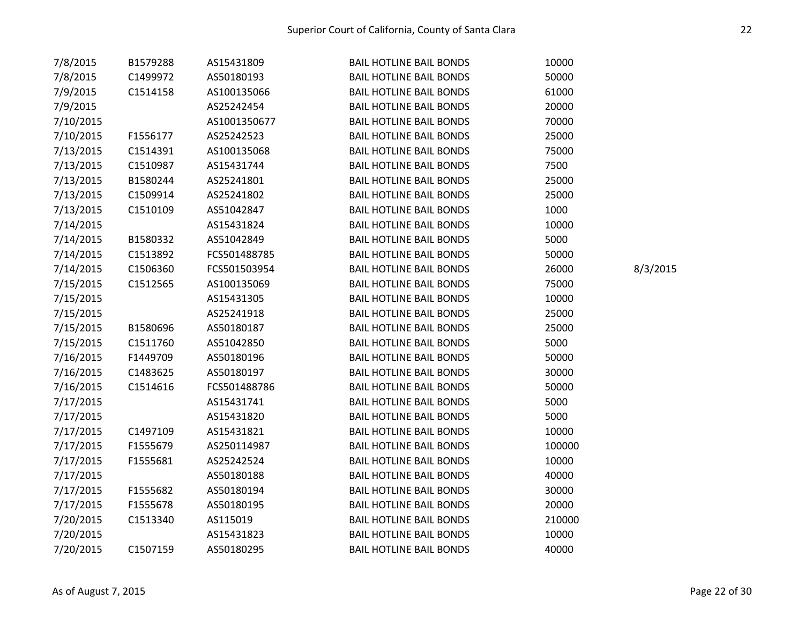| 7/8/2015  | B1579288 | AS15431809   | <b>BAIL HOTLINE BAIL BONDS</b> | 10000  |          |
|-----------|----------|--------------|--------------------------------|--------|----------|
| 7/8/2015  | C1499972 | AS50180193   | <b>BAIL HOTLINE BAIL BONDS</b> | 50000  |          |
| 7/9/2015  | C1514158 | AS100135066  | <b>BAIL HOTLINE BAIL BONDS</b> | 61000  |          |
| 7/9/2015  |          | AS25242454   | <b>BAIL HOTLINE BAIL BONDS</b> | 20000  |          |
| 7/10/2015 |          | AS1001350677 | <b>BAIL HOTLINE BAIL BONDS</b> | 70000  |          |
| 7/10/2015 | F1556177 | AS25242523   | <b>BAIL HOTLINE BAIL BONDS</b> | 25000  |          |
| 7/13/2015 | C1514391 | AS100135068  | <b>BAIL HOTLINE BAIL BONDS</b> | 75000  |          |
| 7/13/2015 | C1510987 | AS15431744   | <b>BAIL HOTLINE BAIL BONDS</b> | 7500   |          |
| 7/13/2015 | B1580244 | AS25241801   | <b>BAIL HOTLINE BAIL BONDS</b> | 25000  |          |
| 7/13/2015 | C1509914 | AS25241802   | <b>BAIL HOTLINE BAIL BONDS</b> | 25000  |          |
| 7/13/2015 | C1510109 | AS51042847   | <b>BAIL HOTLINE BAIL BONDS</b> | 1000   |          |
| 7/14/2015 |          | AS15431824   | <b>BAIL HOTLINE BAIL BONDS</b> | 10000  |          |
| 7/14/2015 | B1580332 | AS51042849   | <b>BAIL HOTLINE BAIL BONDS</b> | 5000   |          |
| 7/14/2015 | C1513892 | FCS501488785 | <b>BAIL HOTLINE BAIL BONDS</b> | 50000  |          |
| 7/14/2015 | C1506360 | FCS501503954 | <b>BAIL HOTLINE BAIL BONDS</b> | 26000  | 8/3/2015 |
| 7/15/2015 | C1512565 | AS100135069  | <b>BAIL HOTLINE BAIL BONDS</b> | 75000  |          |
| 7/15/2015 |          | AS15431305   | <b>BAIL HOTLINE BAIL BONDS</b> | 10000  |          |
| 7/15/2015 |          | AS25241918   | <b>BAIL HOTLINE BAIL BONDS</b> | 25000  |          |
| 7/15/2015 | B1580696 | AS50180187   | <b>BAIL HOTLINE BAIL BONDS</b> | 25000  |          |
| 7/15/2015 | C1511760 | AS51042850   | <b>BAIL HOTLINE BAIL BONDS</b> | 5000   |          |
| 7/16/2015 | F1449709 | AS50180196   | <b>BAIL HOTLINE BAIL BONDS</b> | 50000  |          |
| 7/16/2015 | C1483625 | AS50180197   | <b>BAIL HOTLINE BAIL BONDS</b> | 30000  |          |
| 7/16/2015 | C1514616 | FCS501488786 | <b>BAIL HOTLINE BAIL BONDS</b> | 50000  |          |
| 7/17/2015 |          | AS15431741   | <b>BAIL HOTLINE BAIL BONDS</b> | 5000   |          |
| 7/17/2015 |          | AS15431820   | <b>BAIL HOTLINE BAIL BONDS</b> | 5000   |          |
| 7/17/2015 | C1497109 | AS15431821   | <b>BAIL HOTLINE BAIL BONDS</b> | 10000  |          |
| 7/17/2015 | F1555679 | AS250114987  | <b>BAIL HOTLINE BAIL BONDS</b> | 100000 |          |
| 7/17/2015 | F1555681 | AS25242524   | <b>BAIL HOTLINE BAIL BONDS</b> | 10000  |          |
| 7/17/2015 |          | AS50180188   | <b>BAIL HOTLINE BAIL BONDS</b> | 40000  |          |
| 7/17/2015 | F1555682 | AS50180194   | <b>BAIL HOTLINE BAIL BONDS</b> | 30000  |          |
| 7/17/2015 | F1555678 | AS50180195   | <b>BAIL HOTLINE BAIL BONDS</b> | 20000  |          |
| 7/20/2015 | C1513340 | AS115019     | <b>BAIL HOTLINE BAIL BONDS</b> | 210000 |          |
| 7/20/2015 |          | AS15431823   | <b>BAIL HOTLINE BAIL BONDS</b> | 10000  |          |
| 7/20/2015 | C1507159 | AS50180295   | <b>BAIL HOTLINE BAIL BONDS</b> | 40000  |          |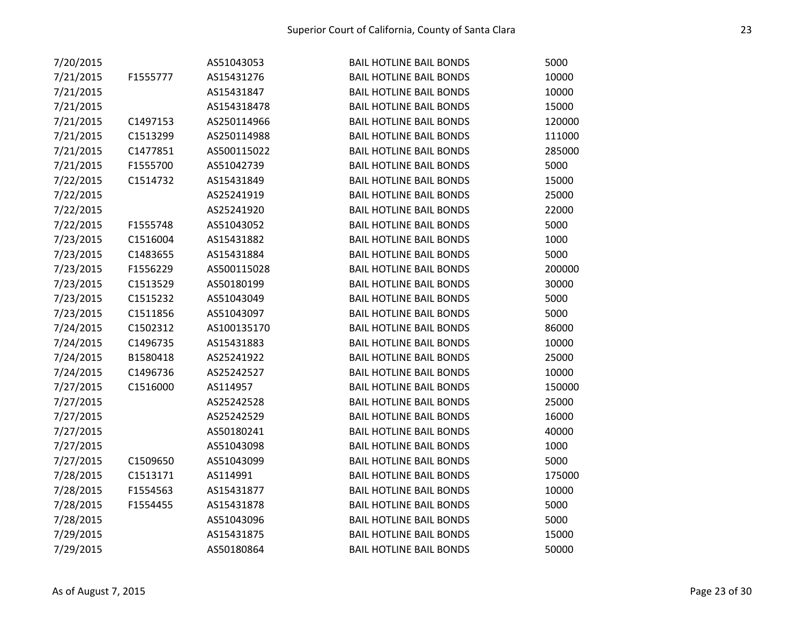| 7/20/2015 |          | AS51043053  | <b>BAIL HOTLINE BAIL BONDS</b> | 5000   |
|-----------|----------|-------------|--------------------------------|--------|
| 7/21/2015 | F1555777 | AS15431276  | <b>BAIL HOTLINE BAIL BONDS</b> | 10000  |
| 7/21/2015 |          | AS15431847  | <b>BAIL HOTLINE BAIL BONDS</b> | 10000  |
| 7/21/2015 |          | AS154318478 | <b>BAIL HOTLINE BAIL BONDS</b> | 15000  |
| 7/21/2015 | C1497153 | AS250114966 | <b>BAIL HOTLINE BAIL BONDS</b> | 120000 |
| 7/21/2015 | C1513299 | AS250114988 | <b>BAIL HOTLINE BAIL BONDS</b> | 111000 |
| 7/21/2015 | C1477851 | AS500115022 | <b>BAIL HOTLINE BAIL BONDS</b> | 285000 |
| 7/21/2015 | F1555700 | AS51042739  | <b>BAIL HOTLINE BAIL BONDS</b> | 5000   |
| 7/22/2015 | C1514732 | AS15431849  | <b>BAIL HOTLINE BAIL BONDS</b> | 15000  |
| 7/22/2015 |          | AS25241919  | <b>BAIL HOTLINE BAIL BONDS</b> | 25000  |
| 7/22/2015 |          | AS25241920  | <b>BAIL HOTLINE BAIL BONDS</b> | 22000  |
| 7/22/2015 | F1555748 | AS51043052  | <b>BAIL HOTLINE BAIL BONDS</b> | 5000   |
| 7/23/2015 | C1516004 | AS15431882  | <b>BAIL HOTLINE BAIL BONDS</b> | 1000   |
| 7/23/2015 | C1483655 | AS15431884  | <b>BAIL HOTLINE BAIL BONDS</b> | 5000   |
| 7/23/2015 | F1556229 | AS500115028 | <b>BAIL HOTLINE BAIL BONDS</b> | 200000 |
| 7/23/2015 | C1513529 | AS50180199  | <b>BAIL HOTLINE BAIL BONDS</b> | 30000  |
| 7/23/2015 | C1515232 | AS51043049  | <b>BAIL HOTLINE BAIL BONDS</b> | 5000   |
| 7/23/2015 | C1511856 | AS51043097  | <b>BAIL HOTLINE BAIL BONDS</b> | 5000   |
| 7/24/2015 | C1502312 | AS100135170 | <b>BAIL HOTLINE BAIL BONDS</b> | 86000  |
| 7/24/2015 | C1496735 | AS15431883  | <b>BAIL HOTLINE BAIL BONDS</b> | 10000  |
| 7/24/2015 | B1580418 | AS25241922  | <b>BAIL HOTLINE BAIL BONDS</b> | 25000  |
| 7/24/2015 | C1496736 | AS25242527  | <b>BAIL HOTLINE BAIL BONDS</b> | 10000  |
| 7/27/2015 | C1516000 | AS114957    | <b>BAIL HOTLINE BAIL BONDS</b> | 150000 |
| 7/27/2015 |          | AS25242528  | <b>BAIL HOTLINE BAIL BONDS</b> | 25000  |
| 7/27/2015 |          | AS25242529  | <b>BAIL HOTLINE BAIL BONDS</b> | 16000  |
| 7/27/2015 |          | AS50180241  | <b>BAIL HOTLINE BAIL BONDS</b> | 40000  |
| 7/27/2015 |          | AS51043098  | <b>BAIL HOTLINE BAIL BONDS</b> | 1000   |
| 7/27/2015 | C1509650 | AS51043099  | <b>BAIL HOTLINE BAIL BONDS</b> | 5000   |
| 7/28/2015 | C1513171 | AS114991    | <b>BAIL HOTLINE BAIL BONDS</b> | 175000 |
| 7/28/2015 | F1554563 | AS15431877  | <b>BAIL HOTLINE BAIL BONDS</b> | 10000  |
| 7/28/2015 | F1554455 | AS15431878  | <b>BAIL HOTLINE BAIL BONDS</b> | 5000   |
| 7/28/2015 |          | AS51043096  | <b>BAIL HOTLINE BAIL BONDS</b> | 5000   |
| 7/29/2015 |          | AS15431875  | <b>BAIL HOTLINE BAIL BONDS</b> | 15000  |
| 7/29/2015 |          | AS50180864  | <b>BAIL HOTLINE BAIL BONDS</b> | 50000  |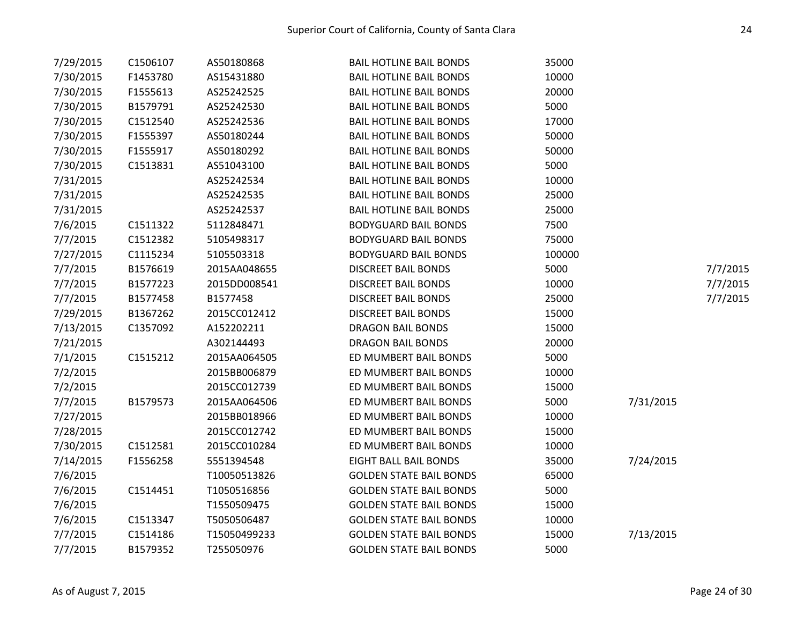| 7/29/2015 | C1506107 | AS50180868   | <b>BAIL HOTLINE BAIL BONDS</b> | 35000  |           |          |
|-----------|----------|--------------|--------------------------------|--------|-----------|----------|
| 7/30/2015 | F1453780 | AS15431880   | <b>BAIL HOTLINE BAIL BONDS</b> | 10000  |           |          |
| 7/30/2015 | F1555613 | AS25242525   | <b>BAIL HOTLINE BAIL BONDS</b> | 20000  |           |          |
| 7/30/2015 | B1579791 | AS25242530   | <b>BAIL HOTLINE BAIL BONDS</b> | 5000   |           |          |
| 7/30/2015 | C1512540 | AS25242536   | <b>BAIL HOTLINE BAIL BONDS</b> | 17000  |           |          |
| 7/30/2015 | F1555397 | AS50180244   | <b>BAIL HOTLINE BAIL BONDS</b> | 50000  |           |          |
| 7/30/2015 | F1555917 | AS50180292   | <b>BAIL HOTLINE BAIL BONDS</b> | 50000  |           |          |
| 7/30/2015 | C1513831 | AS51043100   | <b>BAIL HOTLINE BAIL BONDS</b> | 5000   |           |          |
| 7/31/2015 |          | AS25242534   | <b>BAIL HOTLINE BAIL BONDS</b> | 10000  |           |          |
| 7/31/2015 |          | AS25242535   | <b>BAIL HOTLINE BAIL BONDS</b> | 25000  |           |          |
| 7/31/2015 |          | AS25242537   | <b>BAIL HOTLINE BAIL BONDS</b> | 25000  |           |          |
| 7/6/2015  | C1511322 | 5112848471   | <b>BODYGUARD BAIL BONDS</b>    | 7500   |           |          |
| 7/7/2015  | C1512382 | 5105498317   | <b>BODYGUARD BAIL BONDS</b>    | 75000  |           |          |
| 7/27/2015 | C1115234 | 5105503318   | <b>BODYGUARD BAIL BONDS</b>    | 100000 |           |          |
| 7/7/2015  | B1576619 | 2015AA048655 | <b>DISCREET BAIL BONDS</b>     | 5000   |           | 7/7/2015 |
| 7/7/2015  | B1577223 | 2015DD008541 | <b>DISCREET BAIL BONDS</b>     | 10000  |           | 7/7/2015 |
| 7/7/2015  | B1577458 | B1577458     | <b>DISCREET BAIL BONDS</b>     | 25000  |           | 7/7/2015 |
| 7/29/2015 | B1367262 | 2015CC012412 | <b>DISCREET BAIL BONDS</b>     | 15000  |           |          |
| 7/13/2015 | C1357092 | A152202211   | <b>DRAGON BAIL BONDS</b>       | 15000  |           |          |
| 7/21/2015 |          | A302144493   | <b>DRAGON BAIL BONDS</b>       | 20000  |           |          |
| 7/1/2015  | C1515212 | 2015AA064505 | ED MUMBERT BAIL BONDS          | 5000   |           |          |
| 7/2/2015  |          | 2015BB006879 | ED MUMBERT BAIL BONDS          | 10000  |           |          |
| 7/2/2015  |          | 2015CC012739 | ED MUMBERT BAIL BONDS          | 15000  |           |          |
| 7/7/2015  | B1579573 | 2015AA064506 | ED MUMBERT BAIL BONDS          | 5000   | 7/31/2015 |          |
| 7/27/2015 |          | 2015BB018966 | ED MUMBERT BAIL BONDS          | 10000  |           |          |
| 7/28/2015 |          | 2015CC012742 | ED MUMBERT BAIL BONDS          | 15000  |           |          |
| 7/30/2015 | C1512581 | 2015CC010284 | ED MUMBERT BAIL BONDS          | 10000  |           |          |
| 7/14/2015 | F1556258 | 5551394548   | <b>EIGHT BALL BAIL BONDS</b>   | 35000  | 7/24/2015 |          |
| 7/6/2015  |          | T10050513826 | <b>GOLDEN STATE BAIL BONDS</b> | 65000  |           |          |
| 7/6/2015  | C1514451 | T1050516856  | <b>GOLDEN STATE BAIL BONDS</b> | 5000   |           |          |
| 7/6/2015  |          | T1550509475  | <b>GOLDEN STATE BAIL BONDS</b> | 15000  |           |          |
| 7/6/2015  | C1513347 | T5050506487  | <b>GOLDEN STATE BAIL BONDS</b> | 10000  |           |          |
| 7/7/2015  | C1514186 | T15050499233 | <b>GOLDEN STATE BAIL BONDS</b> | 15000  | 7/13/2015 |          |
| 7/7/2015  | B1579352 | T255050976   | <b>GOLDEN STATE BAIL BONDS</b> | 5000   |           |          |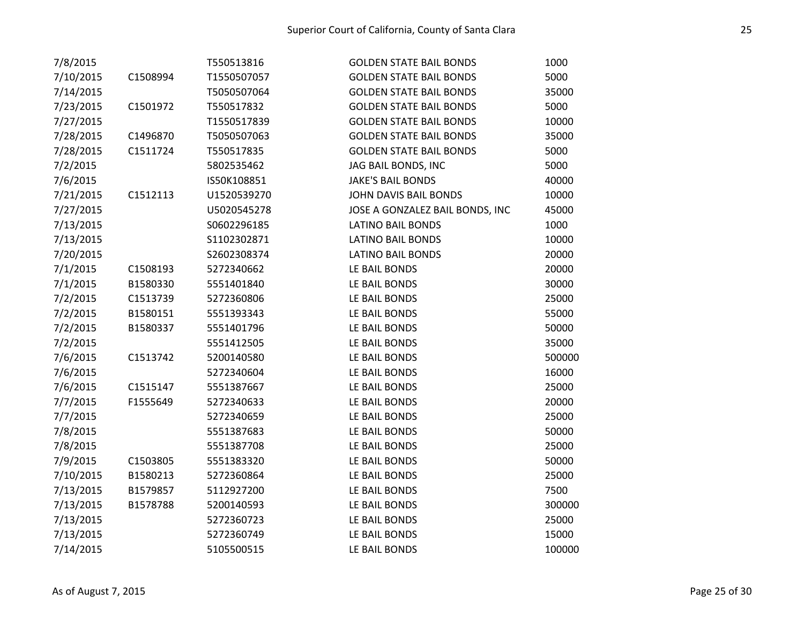| 7/8/2015  |          | T550513816  | <b>GOLDEN STATE BAIL BONDS</b>  | 1000   |
|-----------|----------|-------------|---------------------------------|--------|
| 7/10/2015 | C1508994 | T1550507057 | <b>GOLDEN STATE BAIL BONDS</b>  | 5000   |
| 7/14/2015 |          | T5050507064 | <b>GOLDEN STATE BAIL BONDS</b>  | 35000  |
| 7/23/2015 | C1501972 | T550517832  | <b>GOLDEN STATE BAIL BONDS</b>  | 5000   |
| 7/27/2015 |          | T1550517839 | <b>GOLDEN STATE BAIL BONDS</b>  | 10000  |
| 7/28/2015 | C1496870 | T5050507063 | <b>GOLDEN STATE BAIL BONDS</b>  | 35000  |
| 7/28/2015 | C1511724 | T550517835  | <b>GOLDEN STATE BAIL BONDS</b>  | 5000   |
| 7/2/2015  |          | 5802535462  | JAG BAIL BONDS, INC             | 5000   |
| 7/6/2015  |          | IS50K108851 | <b>JAKE'S BAIL BONDS</b>        | 40000  |
| 7/21/2015 | C1512113 | U1520539270 | JOHN DAVIS BAIL BONDS           | 10000  |
| 7/27/2015 |          | U5020545278 | JOSE A GONZALEZ BAIL BONDS, INC | 45000  |
| 7/13/2015 |          | S0602296185 | <b>LATINO BAIL BONDS</b>        | 1000   |
| 7/13/2015 |          | S1102302871 | <b>LATINO BAIL BONDS</b>        | 10000  |
| 7/20/2015 |          | S2602308374 | <b>LATINO BAIL BONDS</b>        | 20000  |
| 7/1/2015  | C1508193 | 5272340662  | LE BAIL BONDS                   | 20000  |
| 7/1/2015  | B1580330 | 5551401840  | LE BAIL BONDS                   | 30000  |
| 7/2/2015  | C1513739 | 5272360806  | LE BAIL BONDS                   | 25000  |
| 7/2/2015  | B1580151 | 5551393343  | LE BAIL BONDS                   | 55000  |
| 7/2/2015  | B1580337 | 5551401796  | LE BAIL BONDS                   | 50000  |
| 7/2/2015  |          | 5551412505  | LE BAIL BONDS                   | 35000  |
| 7/6/2015  | C1513742 | 5200140580  | LE BAIL BONDS                   | 500000 |
| 7/6/2015  |          | 5272340604  | LE BAIL BONDS                   | 16000  |
| 7/6/2015  | C1515147 | 5551387667  | LE BAIL BONDS                   | 25000  |
| 7/7/2015  | F1555649 | 5272340633  | LE BAIL BONDS                   | 20000  |
| 7/7/2015  |          | 5272340659  | LE BAIL BONDS                   | 25000  |
| 7/8/2015  |          | 5551387683  | LE BAIL BONDS                   | 50000  |
| 7/8/2015  |          | 5551387708  | LE BAIL BONDS                   | 25000  |
| 7/9/2015  | C1503805 | 5551383320  | LE BAIL BONDS                   | 50000  |
| 7/10/2015 | B1580213 | 5272360864  | LE BAIL BONDS                   | 25000  |
| 7/13/2015 | B1579857 | 5112927200  | LE BAIL BONDS                   | 7500   |
| 7/13/2015 | B1578788 | 5200140593  | LE BAIL BONDS                   | 300000 |
| 7/13/2015 |          | 5272360723  | LE BAIL BONDS                   | 25000  |
| 7/13/2015 |          | 5272360749  | LE BAIL BONDS                   | 15000  |
| 7/14/2015 |          | 5105500515  | LE BAIL BONDS                   | 100000 |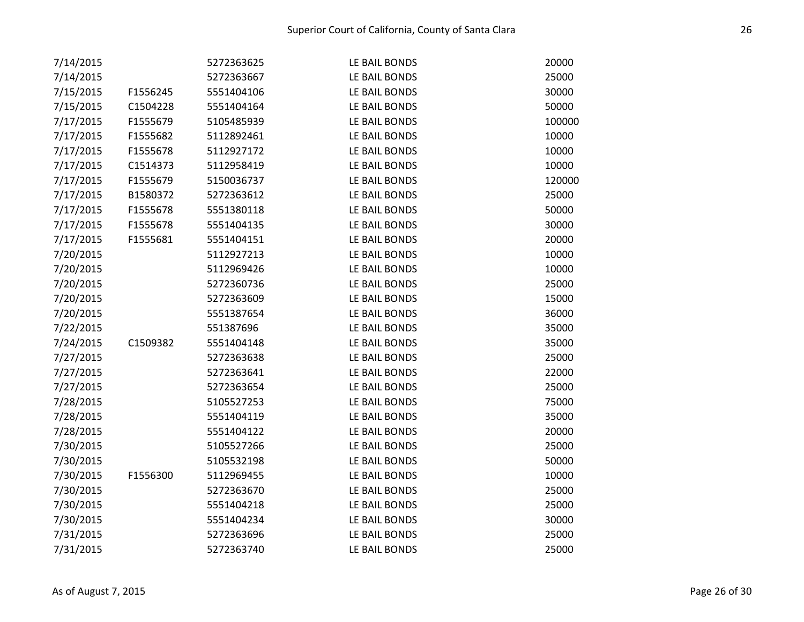| 7/14/2015 |          | 5272363625 | LE BAIL BONDS | 20000  |
|-----------|----------|------------|---------------|--------|
| 7/14/2015 |          | 5272363667 | LE BAIL BONDS | 25000  |
| 7/15/2015 | F1556245 | 5551404106 | LE BAIL BONDS | 30000  |
| 7/15/2015 | C1504228 | 5551404164 | LE BAIL BONDS | 50000  |
| 7/17/2015 | F1555679 | 5105485939 | LE BAIL BONDS | 100000 |
| 7/17/2015 | F1555682 | 5112892461 | LE BAIL BONDS | 10000  |
| 7/17/2015 | F1555678 | 5112927172 | LE BAIL BONDS | 10000  |
| 7/17/2015 | C1514373 | 5112958419 | LE BAIL BONDS | 10000  |
| 7/17/2015 | F1555679 | 5150036737 | LE BAIL BONDS | 120000 |
| 7/17/2015 | B1580372 | 5272363612 | LE BAIL BONDS | 25000  |
| 7/17/2015 | F1555678 | 5551380118 | LE BAIL BONDS | 50000  |
| 7/17/2015 | F1555678 | 5551404135 | LE BAIL BONDS | 30000  |
| 7/17/2015 | F1555681 | 5551404151 | LE BAIL BONDS | 20000  |
| 7/20/2015 |          | 5112927213 | LE BAIL BONDS | 10000  |
| 7/20/2015 |          | 5112969426 | LE BAIL BONDS | 10000  |
| 7/20/2015 |          | 5272360736 | LE BAIL BONDS | 25000  |
| 7/20/2015 |          | 5272363609 | LE BAIL BONDS | 15000  |
| 7/20/2015 |          | 5551387654 | LE BAIL BONDS | 36000  |
| 7/22/2015 |          | 551387696  | LE BAIL BONDS | 35000  |
| 7/24/2015 | C1509382 | 5551404148 | LE BAIL BONDS | 35000  |
| 7/27/2015 |          | 5272363638 | LE BAIL BONDS | 25000  |
| 7/27/2015 |          | 5272363641 | LE BAIL BONDS | 22000  |
| 7/27/2015 |          | 5272363654 | LE BAIL BONDS | 25000  |
| 7/28/2015 |          | 5105527253 | LE BAIL BONDS | 75000  |
| 7/28/2015 |          | 5551404119 | LE BAIL BONDS | 35000  |
| 7/28/2015 |          | 5551404122 | LE BAIL BONDS | 20000  |
| 7/30/2015 |          | 5105527266 | LE BAIL BONDS | 25000  |
| 7/30/2015 |          | 5105532198 | LE BAIL BONDS | 50000  |
| 7/30/2015 | F1556300 | 5112969455 | LE BAIL BONDS | 10000  |
| 7/30/2015 |          | 5272363670 | LE BAIL BONDS | 25000  |
| 7/30/2015 |          | 5551404218 | LE BAIL BONDS | 25000  |
| 7/30/2015 |          | 5551404234 | LE BAIL BONDS | 30000  |
| 7/31/2015 |          | 5272363696 | LE BAIL BONDS | 25000  |
| 7/31/2015 |          | 5272363740 | LE BAIL BONDS | 25000  |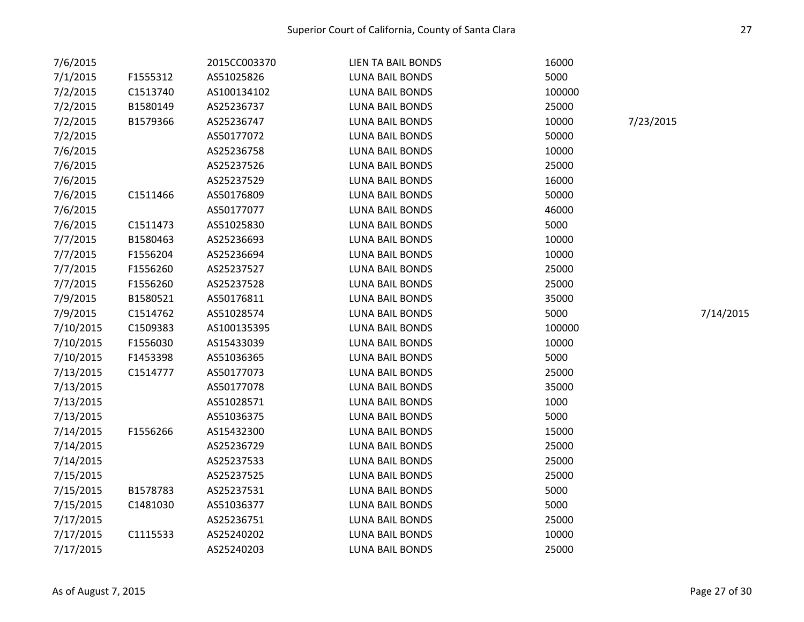| 7/6/2015  |          | 2015CC003370 | <b>LIEN TA BAIL BONDS</b> | 16000  |           |           |
|-----------|----------|--------------|---------------------------|--------|-----------|-----------|
| 7/1/2015  | F1555312 | AS51025826   | <b>LUNA BAIL BONDS</b>    | 5000   |           |           |
| 7/2/2015  | C1513740 | AS100134102  | LUNA BAIL BONDS           | 100000 |           |           |
| 7/2/2015  | B1580149 | AS25236737   | <b>LUNA BAIL BONDS</b>    | 25000  |           |           |
| 7/2/2015  | B1579366 | AS25236747   | <b>LUNA BAIL BONDS</b>    | 10000  | 7/23/2015 |           |
| 7/2/2015  |          | AS50177072   | <b>LUNA BAIL BONDS</b>    | 50000  |           |           |
| 7/6/2015  |          | AS25236758   | <b>LUNA BAIL BONDS</b>    | 10000  |           |           |
| 7/6/2015  |          | AS25237526   | LUNA BAIL BONDS           | 25000  |           |           |
| 7/6/2015  |          | AS25237529   | <b>LUNA BAIL BONDS</b>    | 16000  |           |           |
| 7/6/2015  | C1511466 | AS50176809   | LUNA BAIL BONDS           | 50000  |           |           |
| 7/6/2015  |          | AS50177077   | LUNA BAIL BONDS           | 46000  |           |           |
| 7/6/2015  | C1511473 | AS51025830   | <b>LUNA BAIL BONDS</b>    | 5000   |           |           |
| 7/7/2015  | B1580463 | AS25236693   | <b>LUNA BAIL BONDS</b>    | 10000  |           |           |
| 7/7/2015  | F1556204 | AS25236694   | <b>LUNA BAIL BONDS</b>    | 10000  |           |           |
| 7/7/2015  | F1556260 | AS25237527   | LUNA BAIL BONDS           | 25000  |           |           |
| 7/7/2015  | F1556260 | AS25237528   | <b>LUNA BAIL BONDS</b>    | 25000  |           |           |
| 7/9/2015  | B1580521 | AS50176811   | <b>LUNA BAIL BONDS</b>    | 35000  |           |           |
| 7/9/2015  | C1514762 | AS51028574   | LUNA BAIL BONDS           | 5000   |           | 7/14/2015 |
| 7/10/2015 | C1509383 | AS100135395  | <b>LUNA BAIL BONDS</b>    | 100000 |           |           |
| 7/10/2015 | F1556030 | AS15433039   | <b>LUNA BAIL BONDS</b>    | 10000  |           |           |
| 7/10/2015 | F1453398 | AS51036365   | LUNA BAIL BONDS           | 5000   |           |           |
| 7/13/2015 | C1514777 | AS50177073   | <b>LUNA BAIL BONDS</b>    | 25000  |           |           |
| 7/13/2015 |          | AS50177078   | LUNA BAIL BONDS           | 35000  |           |           |
| 7/13/2015 |          | AS51028571   | <b>LUNA BAIL BONDS</b>    | 1000   |           |           |
| 7/13/2015 |          | AS51036375   | <b>LUNA BAIL BONDS</b>    | 5000   |           |           |
| 7/14/2015 | F1556266 | AS15432300   | LUNA BAIL BONDS           | 15000  |           |           |
| 7/14/2015 |          | AS25236729   | <b>LUNA BAIL BONDS</b>    | 25000  |           |           |
| 7/14/2015 |          | AS25237533   | LUNA BAIL BONDS           | 25000  |           |           |
| 7/15/2015 |          | AS25237525   | <b>LUNA BAIL BONDS</b>    | 25000  |           |           |
| 7/15/2015 | B1578783 | AS25237531   | <b>LUNA BAIL BONDS</b>    | 5000   |           |           |
| 7/15/2015 | C1481030 | AS51036377   | LUNA BAIL BONDS           | 5000   |           |           |
| 7/17/2015 |          | AS25236751   | LUNA BAIL BONDS           | 25000  |           |           |
| 7/17/2015 | C1115533 | AS25240202   | <b>LUNA BAIL BONDS</b>    | 10000  |           |           |
| 7/17/2015 |          | AS25240203   | <b>LUNA BAIL BONDS</b>    | 25000  |           |           |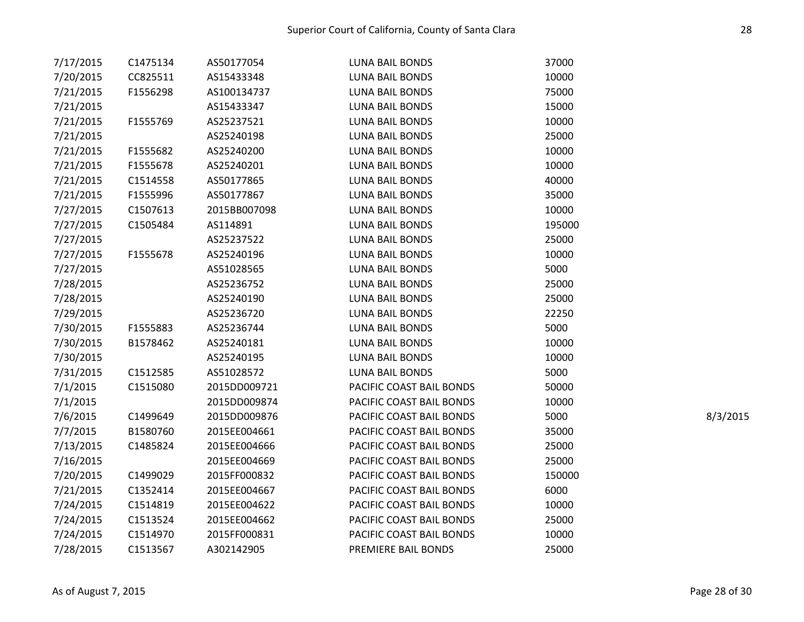| 7/17/2015 | C1475134 | AS50177054   | <b>LUNA BAIL BONDS</b>   | 37000  |          |
|-----------|----------|--------------|--------------------------|--------|----------|
| 7/20/2015 | CC825511 | AS15433348   | LUNA BAIL BONDS          | 10000  |          |
| 7/21/2015 | F1556298 | AS100134737  | LUNA BAIL BONDS          | 75000  |          |
| 7/21/2015 |          | AS15433347   | LUNA BAIL BONDS          | 15000  |          |
| 7/21/2015 | F1555769 | AS25237521   | <b>LUNA BAIL BONDS</b>   | 10000  |          |
| 7/21/2015 |          | AS25240198   | <b>LUNA BAIL BONDS</b>   | 25000  |          |
| 7/21/2015 | F1555682 | AS25240200   | LUNA BAIL BONDS          | 10000  |          |
| 7/21/2015 | F1555678 | AS25240201   | <b>LUNA BAIL BONDS</b>   | 10000  |          |
| 7/21/2015 | C1514558 | AS50177865   | <b>LUNA BAIL BONDS</b>   | 40000  |          |
| 7/21/2015 | F1555996 | AS50177867   | <b>LUNA BAIL BONDS</b>   | 35000  |          |
| 7/27/2015 | C1507613 | 2015BB007098 | LUNA BAIL BONDS          | 10000  |          |
| 7/27/2015 | C1505484 | AS114891     | <b>LUNA BAIL BONDS</b>   | 195000 |          |
| 7/27/2015 |          | AS25237522   | LUNA BAIL BONDS          | 25000  |          |
| 7/27/2015 | F1555678 | AS25240196   | <b>LUNA BAIL BONDS</b>   | 10000  |          |
| 7/27/2015 |          | AS51028565   | <b>LUNA BAIL BONDS</b>   | 5000   |          |
| 7/28/2015 |          | AS25236752   | <b>LUNA BAIL BONDS</b>   | 25000  |          |
| 7/28/2015 |          | AS25240190   | LUNA BAIL BONDS          | 25000  |          |
| 7/29/2015 |          | AS25236720   | LUNA BAIL BONDS          | 22250  |          |
| 7/30/2015 | F1555883 | AS25236744   | LUNA BAIL BONDS          | 5000   |          |
| 7/30/2015 | B1578462 | AS25240181   | <b>LUNA BAIL BONDS</b>   | 10000  |          |
| 7/30/2015 |          | AS25240195   | LUNA BAIL BONDS          | 10000  |          |
| 7/31/2015 | C1512585 | AS51028572   | LUNA BAIL BONDS          | 5000   |          |
| 7/1/2015  | C1515080 | 2015DD009721 | PACIFIC COAST BAIL BONDS | 50000  |          |
| 7/1/2015  |          | 2015DD009874 | PACIFIC COAST BAIL BONDS | 10000  |          |
| 7/6/2015  | C1499649 | 2015DD009876 | PACIFIC COAST BAIL BONDS | 5000   | 8/3/2015 |
| 7/7/2015  | B1580760 | 2015EE004661 | PACIFIC COAST BAIL BONDS | 35000  |          |
| 7/13/2015 | C1485824 | 2015EE004666 | PACIFIC COAST BAIL BONDS | 25000  |          |
| 7/16/2015 |          | 2015EE004669 | PACIFIC COAST BAIL BONDS | 25000  |          |
| 7/20/2015 | C1499029 | 2015FF000832 | PACIFIC COAST BAIL BONDS | 150000 |          |
| 7/21/2015 | C1352414 | 2015EE004667 | PACIFIC COAST BAIL BONDS | 6000   |          |
| 7/24/2015 | C1514819 | 2015EE004622 | PACIFIC COAST BAIL BONDS | 10000  |          |
| 7/24/2015 | C1513524 | 2015EE004662 | PACIFIC COAST BAIL BONDS | 25000  |          |
| 7/24/2015 | C1514970 | 2015FF000831 | PACIFIC COAST BAIL BONDS | 10000  |          |
| 7/28/2015 | C1513567 | A302142905   | PREMIERE BAIL BONDS      | 25000  |          |
|           |          |              |                          |        |          |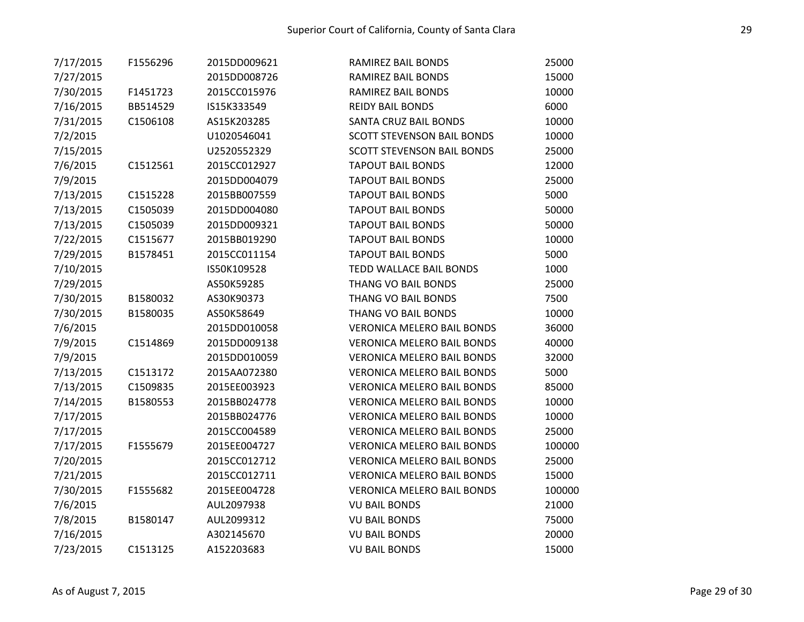| 7/17/2015 | F1556296 | 2015DD009621 | RAMIREZ BAIL BONDS                | 25000  |
|-----------|----------|--------------|-----------------------------------|--------|
| 7/27/2015 |          | 2015DD008726 | RAMIREZ BAIL BONDS                | 15000  |
| 7/30/2015 | F1451723 | 2015CC015976 | RAMIREZ BAIL BONDS                | 10000  |
| 7/16/2015 | BB514529 | IS15K333549  | <b>REIDY BAIL BONDS</b>           | 6000   |
| 7/31/2015 | C1506108 | AS15K203285  | <b>SANTA CRUZ BAIL BONDS</b>      | 10000  |
| 7/2/2015  |          | U1020546041  | <b>SCOTT STEVENSON BAIL BONDS</b> | 10000  |
| 7/15/2015 |          | U2520552329  | <b>SCOTT STEVENSON BAIL BONDS</b> | 25000  |
| 7/6/2015  | C1512561 | 2015CC012927 | <b>TAPOUT BAIL BONDS</b>          | 12000  |
| 7/9/2015  |          | 2015DD004079 | <b>TAPOUT BAIL BONDS</b>          | 25000  |
| 7/13/2015 | C1515228 | 2015BB007559 | <b>TAPOUT BAIL BONDS</b>          | 5000   |
| 7/13/2015 | C1505039 | 2015DD004080 | <b>TAPOUT BAIL BONDS</b>          | 50000  |
| 7/13/2015 | C1505039 | 2015DD009321 | <b>TAPOUT BAIL BONDS</b>          | 50000  |
| 7/22/2015 | C1515677 | 2015BB019290 | <b>TAPOUT BAIL BONDS</b>          | 10000  |
| 7/29/2015 | B1578451 | 2015CC011154 | <b>TAPOUT BAIL BONDS</b>          | 5000   |
| 7/10/2015 |          | IS50K109528  | <b>TEDD WALLACE BAIL BONDS</b>    | 1000   |
| 7/29/2015 |          | AS50K59285   | <b>THANG VO BAIL BONDS</b>        | 25000  |
| 7/30/2015 | B1580032 | AS30K90373   | <b>THANG VO BAIL BONDS</b>        | 7500   |
| 7/30/2015 | B1580035 | AS50K58649   | <b>THANG VO BAIL BONDS</b>        | 10000  |
| 7/6/2015  |          | 2015DD010058 | <b>VERONICA MELERO BAIL BONDS</b> | 36000  |
| 7/9/2015  | C1514869 | 2015DD009138 | <b>VERONICA MELERO BAIL BONDS</b> | 40000  |
| 7/9/2015  |          | 2015DD010059 | <b>VERONICA MELERO BAIL BONDS</b> | 32000  |
| 7/13/2015 | C1513172 | 2015AA072380 | <b>VERONICA MELERO BAIL BONDS</b> | 5000   |
| 7/13/2015 | C1509835 | 2015EE003923 | <b>VERONICA MELERO BAIL BONDS</b> | 85000  |
| 7/14/2015 | B1580553 | 2015BB024778 | <b>VERONICA MELERO BAIL BONDS</b> | 10000  |
| 7/17/2015 |          | 2015BB024776 | <b>VERONICA MELERO BAIL BONDS</b> | 10000  |
| 7/17/2015 |          | 2015CC004589 | <b>VERONICA MELERO BAIL BONDS</b> | 25000  |
| 7/17/2015 | F1555679 | 2015EE004727 | <b>VERONICA MELERO BAIL BONDS</b> | 100000 |
| 7/20/2015 |          | 2015CC012712 | <b>VERONICA MELERO BAIL BONDS</b> | 25000  |
| 7/21/2015 |          | 2015CC012711 | <b>VERONICA MELERO BAIL BONDS</b> | 15000  |
| 7/30/2015 | F1555682 | 2015EE004728 | <b>VERONICA MELERO BAIL BONDS</b> | 100000 |
| 7/6/2015  |          | AUL2097938   | <b>VU BAIL BONDS</b>              | 21000  |
| 7/8/2015  | B1580147 | AUL2099312   | <b>VU BAIL BONDS</b>              | 75000  |
| 7/16/2015 |          | A302145670   | <b>VU BAIL BONDS</b>              | 20000  |
| 7/23/2015 | C1513125 | A152203683   | <b>VU BAIL BONDS</b>              | 15000  |